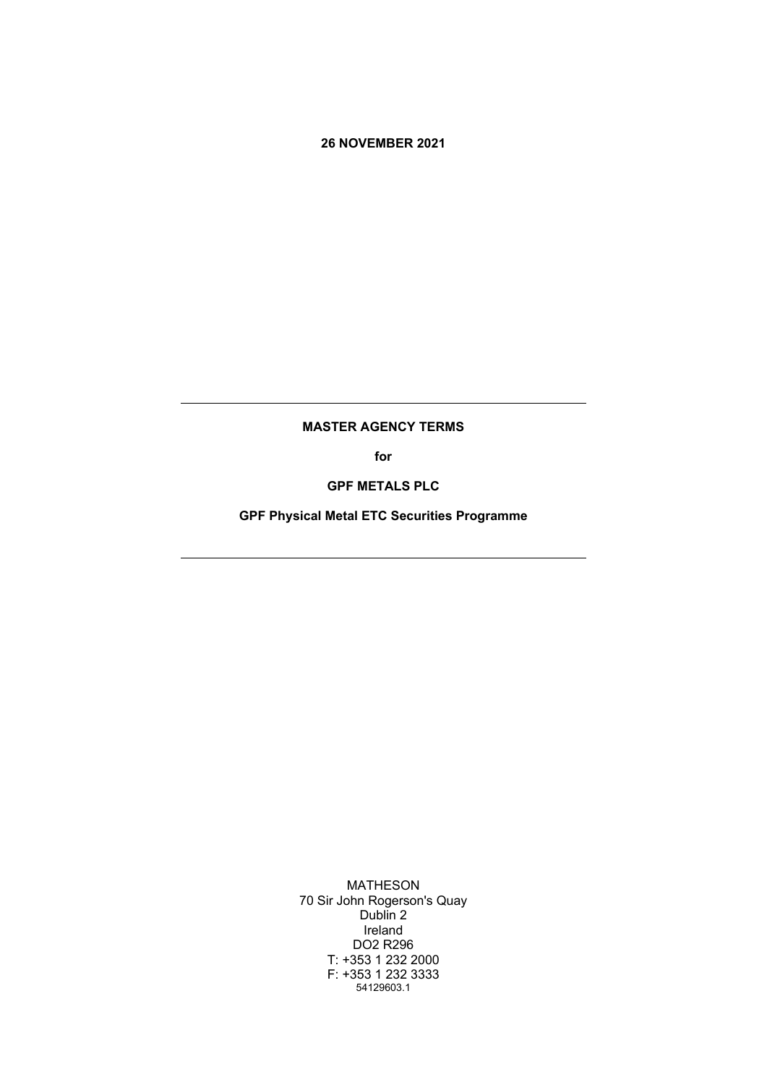## **26 NOVEMBER 2021**

## **MASTER AGENCY TERMS**

**for**

**GPF METALS PLC**

**GPF Physical Metal ETC Securities Programme**

MATHESON 70 Sir John Rogerson's Quay Dublin 2 Ireland DO2 R296 T: +353 1 232 2000 F: +353 1 232 3333 54129603.1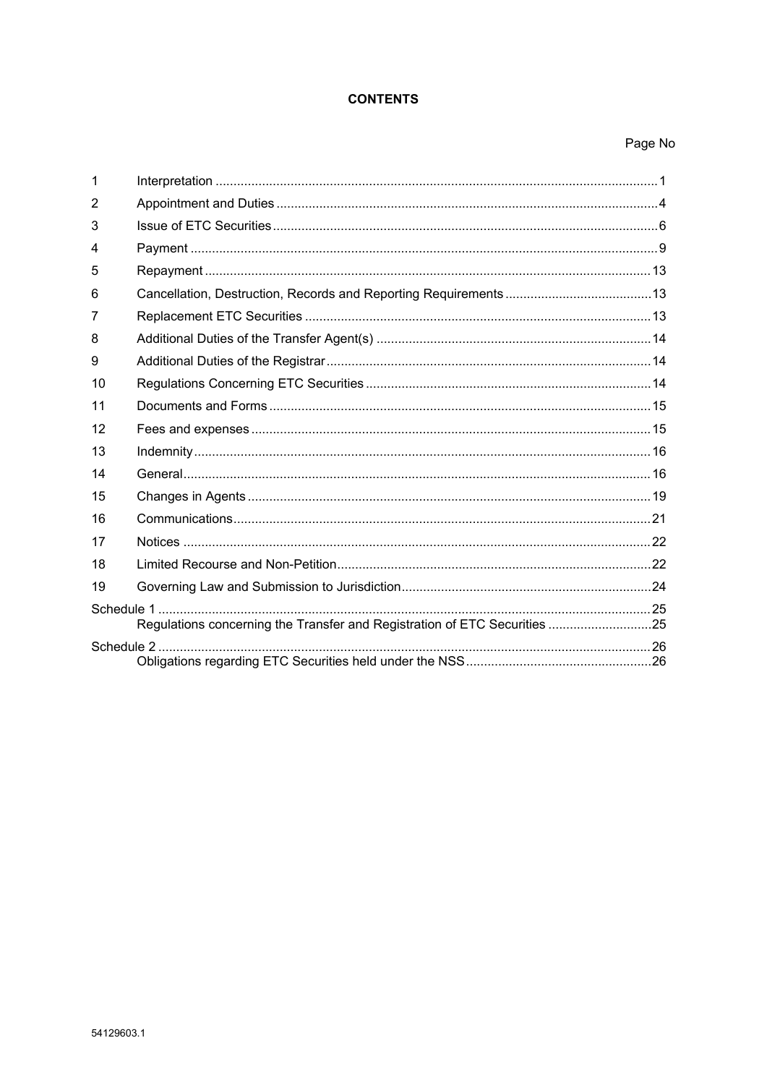## **CONTENTS**

## Page No

| 1  |                                                                                                                                                                                                                                |  |
|----|--------------------------------------------------------------------------------------------------------------------------------------------------------------------------------------------------------------------------------|--|
| 2  |                                                                                                                                                                                                                                |  |
| 3  |                                                                                                                                                                                                                                |  |
| 4  |                                                                                                                                                                                                                                |  |
| 5  |                                                                                                                                                                                                                                |  |
| 6  |                                                                                                                                                                                                                                |  |
| 7  |                                                                                                                                                                                                                                |  |
| 8  |                                                                                                                                                                                                                                |  |
| 9  |                                                                                                                                                                                                                                |  |
| 10 |                                                                                                                                                                                                                                |  |
| 11 |                                                                                                                                                                                                                                |  |
| 12 |                                                                                                                                                                                                                                |  |
| 13 | 16 meters in the contract of the contract of the contract of the contract of the contract of the contract of the contract of the contract of the contract of the contract of the contract of the contract of the contract of t |  |
| 14 |                                                                                                                                                                                                                                |  |
| 15 |                                                                                                                                                                                                                                |  |
| 16 |                                                                                                                                                                                                                                |  |
| 17 |                                                                                                                                                                                                                                |  |
| 18 |                                                                                                                                                                                                                                |  |
| 19 |                                                                                                                                                                                                                                |  |
|    | Regulations concerning the Transfer and Registration of ETC Securities25                                                                                                                                                       |  |
|    |                                                                                                                                                                                                                                |  |
|    |                                                                                                                                                                                                                                |  |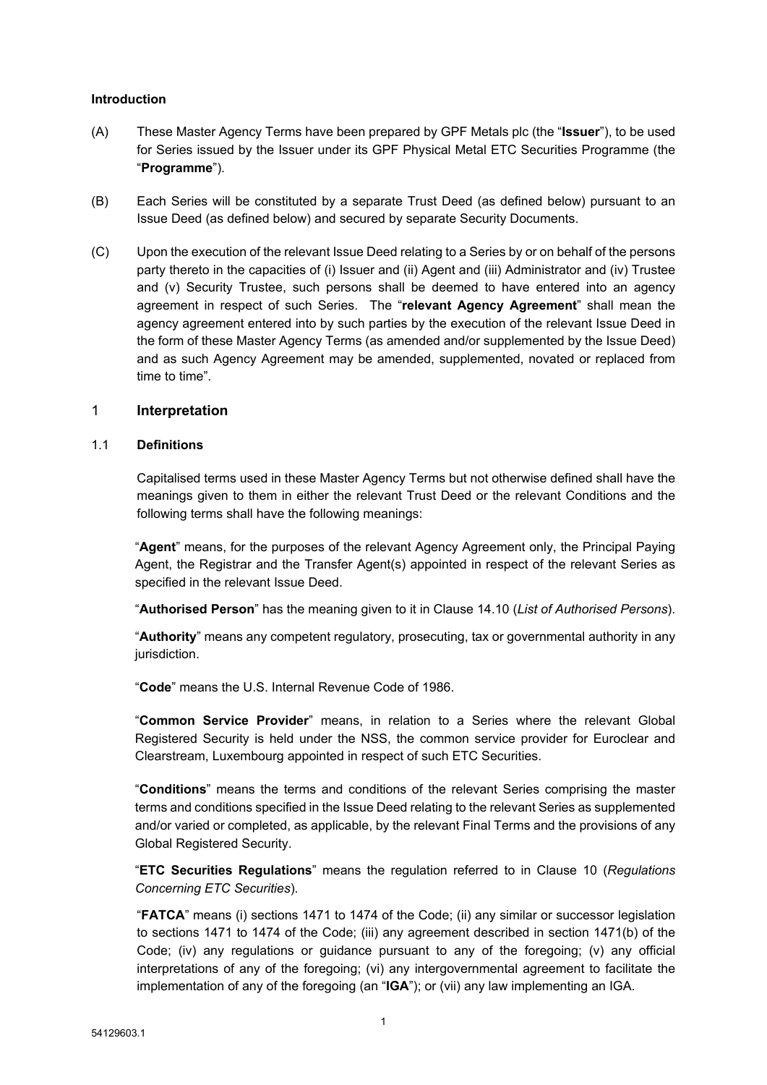## **Introduction**

- (A) These Master Agency Terms have been prepared by GPF Metals plc (the "**Issuer**"), to be used for Series issued by the Issuer under its GPF Physical Metal ETC Securities Programme (the "**Programme**").
- (B) Each Series will be constituted by a separate Trust Deed (as defined below) pursuant to an Issue Deed (as defined below) and secured by separate Security Documents.
- (C) Upon the execution of the relevant Issue Deed relating to a Series by or on behalf of the persons party thereto in the capacities of (i) Issuer and (ii) Agent and (iii) Administrator and (iv) Trustee and (v) Security Trustee, such persons shall be deemed to have entered into an agency agreement in respect of such Series. The "**relevant Agency Agreement**" shall mean the agency agreement entered into by such parties by the execution of the relevant Issue Deed in the form of these Master Agency Terms (as amended and/or supplemented by the Issue Deed) and as such Agency Agreement may be amended, supplemented, novated or replaced from time to time".

### <span id="page-2-0"></span>1 **Interpretation**

### 1.1 **Definitions**

Capitalised terms used in these Master Agency Terms but not otherwise defined shall have the meanings given to them in either the relevant Trust Deed or the relevant Conditions and the following terms shall have the following meanings:

"**Agent**" means, for the purposes of the relevant Agency Agreement only, the Principal Paying Agent, the Registrar and the Transfer Agent(s) appointed in respect of the relevant Series as specified in the relevant Issue Deed.

"**Authorised Person**" has the meaning given to it in Clause [14.10](#page-19-0) (*List of [Authorised](#page-19-0) Persons*).

"**Authority**" means any competent regulatory, prosecuting, tax or governmental authority in any jurisdiction.

"**Code**" means the U.S. Internal Revenue Code of 1986.

"**Common Service Provider**" means, in relation to a Series where the relevant Global Registered Security is held under the NSS, the common service provider for Euroclear and Clearstream, Luxembourg appointed in respect of such ETC Securities.

"**Conditions**" means the terms and conditions of the relevant Series comprising the master terms and conditions specified in the Issue Deed relating to the relevant Series as supplemented and/or varied or completed, as applicable, by the relevant Final Terms and the provisions of any Global Registered Security.

"**ETC Securities Regulations**" means the regulation referred to in Clause [10](#page-16-1) (*[Regulations](#page-16-1) [Concerning](#page-16-1) ETC Securities*).

"**FATCA**" means (i) sections 1471 to 1474 of the Code; (ii) any similar or successor legislation to sections 1471 to 1474 of the Code; (iii) any agreement described in section 1471(b) of the Code; (iv) any regulations or guidance pursuant to any of the foregoing; (v) any official interpretations of any of the foregoing; (vi) any intergovernmental agreement to facilitate the implementation of any of the foregoing (an "**IGA**"); or (vii) any law implementing an IGA.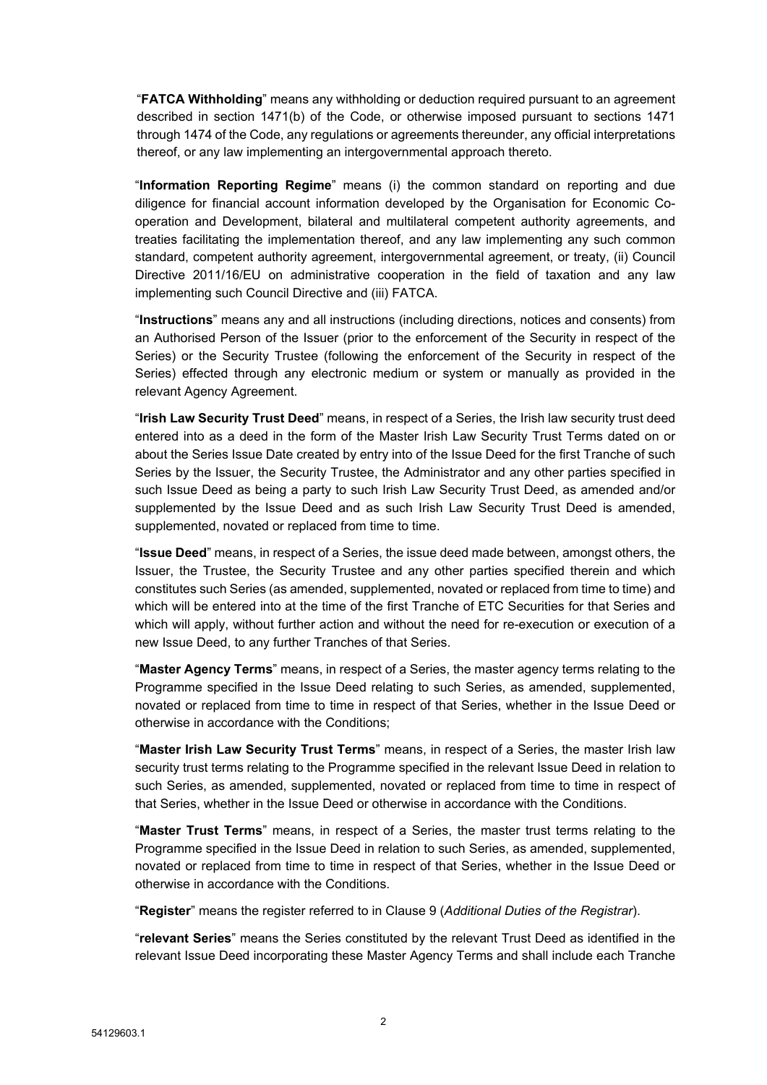"**FATCA Withholding**" means any withholding or deduction required pursuant to an agreement described in section 1471(b) of the Code, or otherwise imposed pursuant to sections 1471 through 1474 of the Code, any regulations or agreements thereunder, any official interpretations thereof, or any law implementing an intergovernmental approach thereto.

"**Information Reporting Regime**" means (i) the common standard on reporting and due diligence for financial account information developed by the Organisation for Economic Cooperation and Development, bilateral and multilateral competent authority agreements, and treaties facilitating the implementation thereof, and any law implementing any such common standard, competent authority agreement, intergovernmental agreement, or treaty, (ii) Council Directive 2011/16/EU on administrative cooperation in the field of taxation and any law implementing such Council Directive and (iii) FATCA.

"**Instructions**" means any and all instructions (including directions, notices and consents) from an Authorised Person of the Issuer (prior to the enforcement of the Security in respect of the Series) or the Security Trustee (following the enforcement of the Security in respect of the Series) effected through any electronic medium or system or manually as provided in the relevant Agency Agreement.

"**Irish Law Security Trust Deed**" means, in respect of a Series, the Irish law security trust deed entered into as a deed in the form of the Master Irish Law Security Trust Terms dated on or about the Series Issue Date created by entry into of the Issue Deed for the first Tranche of such Series by the Issuer, the Security Trustee, the Administrator and any other parties specified in such Issue Deed as being a party to such Irish Law Security Trust Deed, as amended and/or supplemented by the Issue Deed and as such Irish Law Security Trust Deed is amended, supplemented, novated or replaced from time to time.

"**Issue Deed**" means, in respect of a Series, the issue deed made between, amongst others, the Issuer, the Trustee, the Security Trustee and any other parties specified therein and which constitutes such Series (as amended, supplemented, novated or replaced from time to time) and which will be entered into at the time of the first Tranche of ETC Securities for that Series and which will apply, without further action and without the need for re-execution or execution of a new Issue Deed, to any further Tranches of that Series.

"**Master Agency Terms**" means, in respect of a Series, the master agency terms relating to the Programme specified in the Issue Deed relating to such Series, as amended, supplemented, novated or replaced from time to time in respect of that Series, whether in the Issue Deed or otherwise in accordance with the Conditions;

"**Master Irish Law Security Trust Terms**" means, in respect of a Series, the master Irish law security trust terms relating to the Programme specified in the relevant Issue Deed in relation to such Series, as amended, supplemented, novated or replaced from time to time in respect of that Series, whether in the Issue Deed or otherwise in accordance with the Conditions.

"**Master Trust Terms**" means, in respect of a Series, the master trust terms relating to the Programme specified in the Issue Deed in relation to such Series, as amended, supplemented, novated or replaced from time to time in respect of that Series, whether in the Issue Deed or otherwise in accordance with the Conditions.

"**Register**" means the register referred to in Clause [9](#page-16-0) (*[Additional](#page-16-0) Duties of the Registrar*).

"**relevant Series**" means the Series constituted by the relevant Trust Deed as identified in the relevant Issue Deed incorporating these Master Agency Terms and shall include each Tranche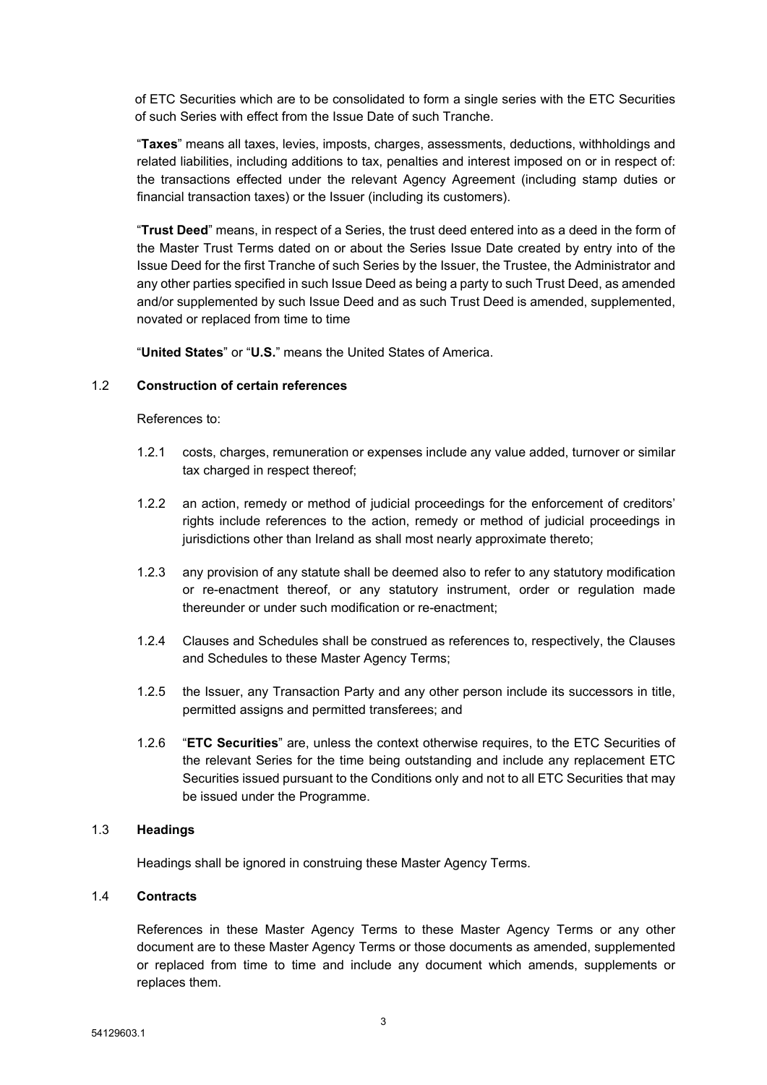of ETC Securities which are to be consolidated to form a single series with the ETC Securities of such Series with effect from the Issue Date of such Tranche.

"**Taxes**" means all taxes, levies, imposts, charges, assessments, deductions, withholdings and related liabilities, including additions to tax, penalties and interest imposed on or in respect of: the transactions effected under the relevant Agency Agreement (including stamp duties or financial transaction taxes) or the Issuer (including its customers).

"**Trust Deed**" means, in respect of a Series, the trust deed entered into as a deed in the form of the Master Trust Terms dated on or about the Series Issue Date created by entry into of the Issue Deed for the first Tranche of such Series by the Issuer, the Trustee, the Administrator and any other parties specified in such Issue Deed as being a party to such Trust Deed, as amended and/or supplemented by such Issue Deed and as such Trust Deed is amended, supplemented, novated or replaced from time to time

"**United States**" or "**U.S.**" means the United States of America.

## 1.2 **Construction of certain references**

References to:

- 1.2.1 costs, charges, remuneration or expenses include any value added, turnover or similar tax charged in respect thereof;
- 1.2.2 an action, remedy or method of judicial proceedings for the enforcement of creditors' rights include references to the action, remedy or method of judicial proceedings in jurisdictions other than Ireland as shall most nearly approximate thereto;
- 1.2.3 any provision of any statute shall be deemed also to refer to any statutory modification or re-enactment thereof, or any statutory instrument, order or regulation made thereunder or under such modification or re-enactment;
- 1.2.4 Clauses and Schedules shall be construed as references to, respectively, the Clauses and Schedules to these Master Agency Terms;
- 1.2.5 the Issuer, any Transaction Party and any other person include its successors in title, permitted assigns and permitted transferees; and
- 1.2.6 "**ETC Securities**" are, unless the context otherwise requires, to the ETC Securities of the relevant Series for the time being outstanding and include any replacement ETC Securities issued pursuant to the Conditions only and not to all ETC Securities that may be issued under the Programme.

## 1.3 **Headings**

Headings shall be ignored in construing these Master Agency Terms.

## 1.4 **Contracts**

References in these Master Agency Terms to these Master Agency Terms or any other document are to these Master Agency Terms or those documents as amended, supplemented or replaced from time to time and include any document which amends, supplements or replaces them.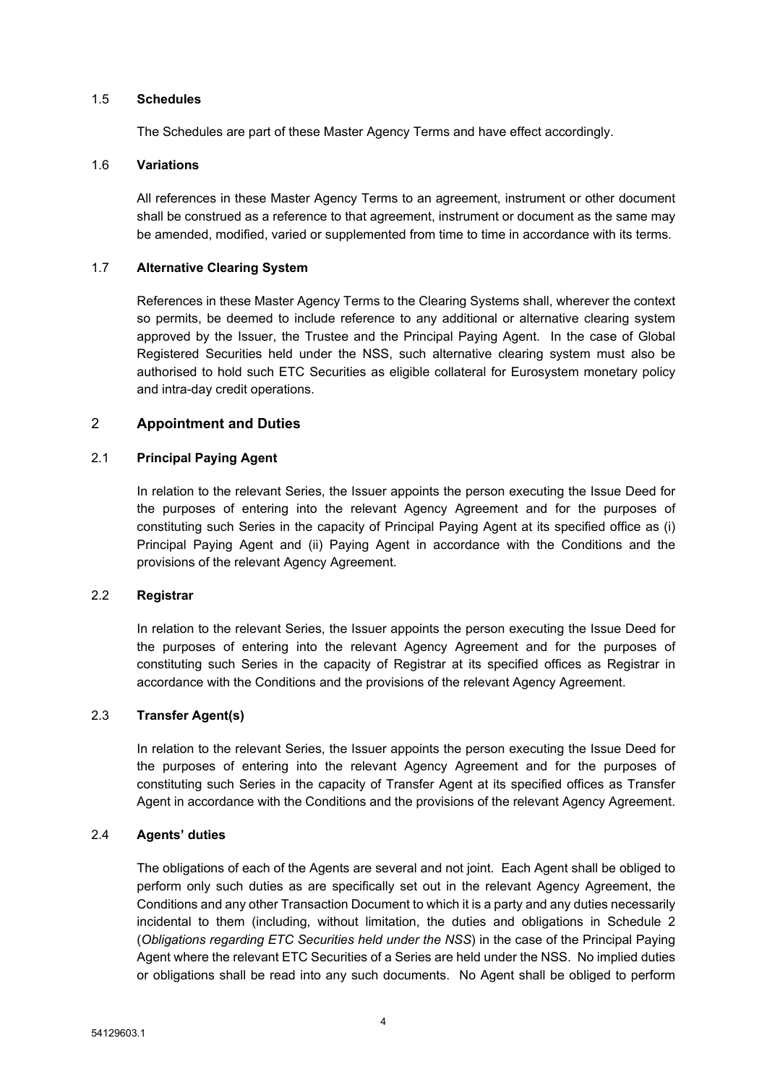### 1.5 **Schedules**

The Schedules are part of these Master Agency Terms and have effect accordingly.

# 1.6 **Variations**

All references in these Master Agency Terms to an agreement, instrument or other document shall be construed as a reference to that agreement, instrument or document as the same may be amended, modified, varied or supplemented from time to time in accordance with its terms.

### 1.7 **Alternative Clearing System**

References in these Master Agency Terms to the Clearing Systems shall, wherever the context so permits, be deemed to include reference to any additional or alternative clearing system approved by the Issuer, the Trustee and the Principal Paying Agent. In the case of Global Registered Securities held under the NSS, such alternative clearing system must also be authorised to hold such ETC Securities as eligible collateral for Eurosystem monetary policy and intra-day credit operations.

## <span id="page-5-0"></span>2 **Appointment and Duties**

# 2.1 **Principal Paying Agent**

In relation to the relevant Series, the Issuer appoints the person executing the Issue Deed for the purposes of entering into the relevant Agency Agreement and for the purposes of constituting such Series in the capacity of Principal Paying Agent at its specified office as (i) Principal Paying Agent and (ii) Paying Agent in accordance with the Conditions and the provisions of the relevant Agency Agreement.

## 2.2 **Registrar**

In relation to the relevant Series, the Issuer appoints the person executing the Issue Deed for the purposes of entering into the relevant Agency Agreement and for the purposes of constituting such Series in the capacity of Registrar at its specified offices as Registrar in accordance with the Conditions and the provisions of the relevant Agency Agreement.

# 2.3 **Transfer Agent(s)**

In relation to the relevant Series, the Issuer appoints the person executing the Issue Deed for the purposes of entering into the relevant Agency Agreement and for the purposes of constituting such Series in the capacity of Transfer Agent at its specified offices as Transfer Agent in accordance with the Conditions and the provisions of the relevant Agency Agreement.

## 2.4 **Agents' duties**

The obligations of each of the Agents are several and not joint. Each Agent shall be obliged to perform only such duties as are specifically set out in the relevant Agency Agreement, the Conditions and any other Transaction Document to which it is a party and any duties necessarily incidental to them (including, without limitation, the duties and obligations in [Schedule](#page-30-0) 2 (*[Obligations](#page-30-1) regarding ETC Securities held under the NSS*) in the case of the Principal Paying Agent where the relevant ETC Securities of a Series are held under the NSS. No implied duties or obligations shall be read into any such documents. No Agent shall be obliged to perform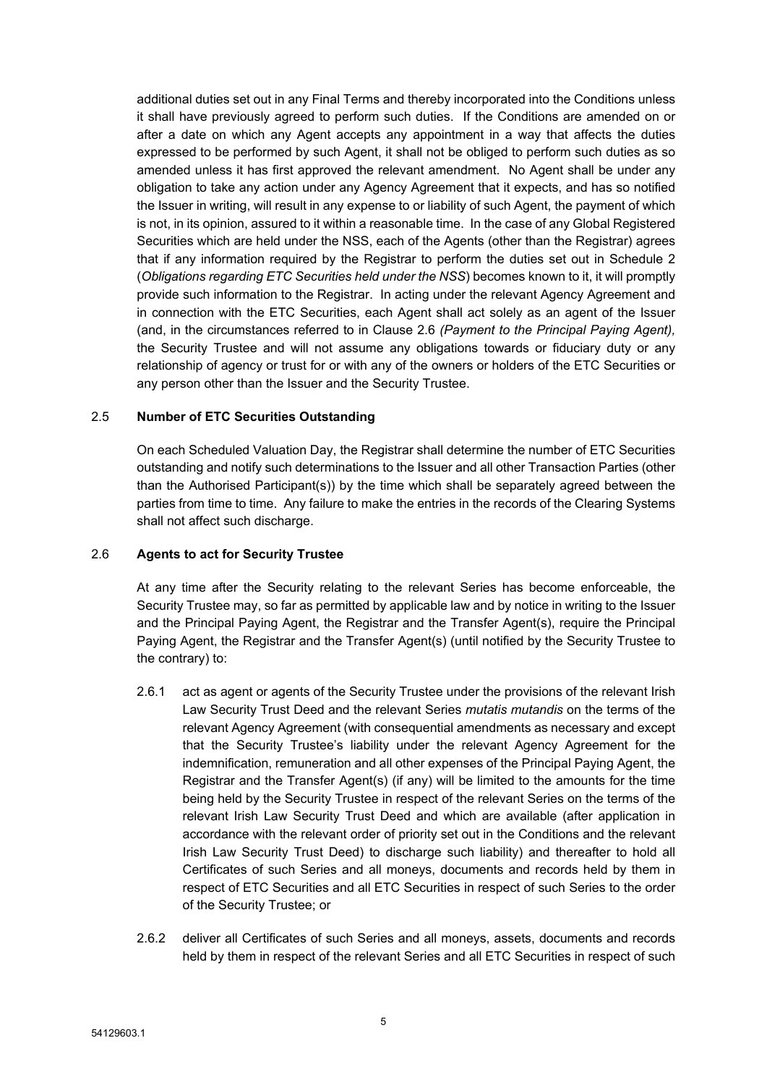additional duties set out in any Final Terms and thereby incorporated into the Conditions unless it shall have previously agreed to perform such duties. If the Conditions are amended on or after a date on which any Agent accepts any appointment in a way that affects the duties expressed to be performed by such Agent, it shall not be obliged to perform such duties as so amended unless it has first approved the relevant amendment. No Agent shall be under any obligation to take any action under any Agency Agreement that it expects, and has so notified the Issuer in writing, will result in any expense to or liability of such Agent, the payment of which is not, in its opinion, assured to it within a reasonable time. In the case of any Global Registered Securities which are held under the NSS, each of the Agents (other than the Registrar) agrees that if any information required by the Registrar to perform the duties set out in [Schedule](#page-30-0) 2 (*[Obligations](#page-30-1) regarding ETC Securities held under the NSS*) becomes known to it, it will promptly provide such information to the Registrar. In acting under the relevant Agency Agreement and in connection with the ETC Securities, each Agent shall act solely as an agent of the Issuer (and, in the circumstances referred to in Clause [2.6](#page-6-0) *([Payment](#page-10-1) to the Principal Paying Agent),* the Security Trustee and will not assume any obligations towards or fiduciary duty or any relationship of agency or trust for or with any of the owners or holders of the ETC Securities or any person other than the Issuer and the Security Trustee.

## 2.5 **Number of ETC Securities Outstanding**

On each Scheduled Valuation Day, the Registrar shall determine the number of ETC Securities outstanding and notify such determinations to the Issuer and all other Transaction Parties (other than the Authorised Participant(s)) by the time which shall be separately agreed between the parties from time to time. Any failure to make the entries in the records of the Clearing Systems shall not affect such discharge.

## <span id="page-6-0"></span>2.6 **Agents to act for Security Trustee**

At any time after the Security relating to the relevant Series has become enforceable, the Security Trustee may, so far as permitted by applicable law and by notice in writing to the Issuer and the Principal Paying Agent, the Registrar and the Transfer Agent(s), require the Principal Paying Agent, the Registrar and the Transfer Agent(s) (until notified by the Security Trustee to the contrary) to:

- 2.6.1 act as agent or agents of the Security Trustee under the provisions of the relevant Irish Law Security Trust Deed and the relevant Series *mutatis mutandis* on the terms of the relevant Agency Agreement (with consequential amendments as necessary and except that the Security Trustee's liability under the relevant Agency Agreement for the indemnification, remuneration and all other expenses of the Principal Paying Agent, the Registrar and the Transfer Agent(s) (if any) will be limited to the amounts for the time being held by the Security Trustee in respect of the relevant Series on the terms of the relevant Irish Law Security Trust Deed and which are available (after application in accordance with the relevant order of priority set out in the Conditions and the relevant Irish Law Security Trust Deed) to discharge such liability) and thereafter to hold all Certificates of such Series and all moneys, documents and records held by them in respect of ETC Securities and all ETC Securities in respect of such Series to the order of the Security Trustee; or
- 2.6.2 deliver all Certificates of such Series and all moneys, assets, documents and records held by them in respect of the relevant Series and all ETC Securities in respect of such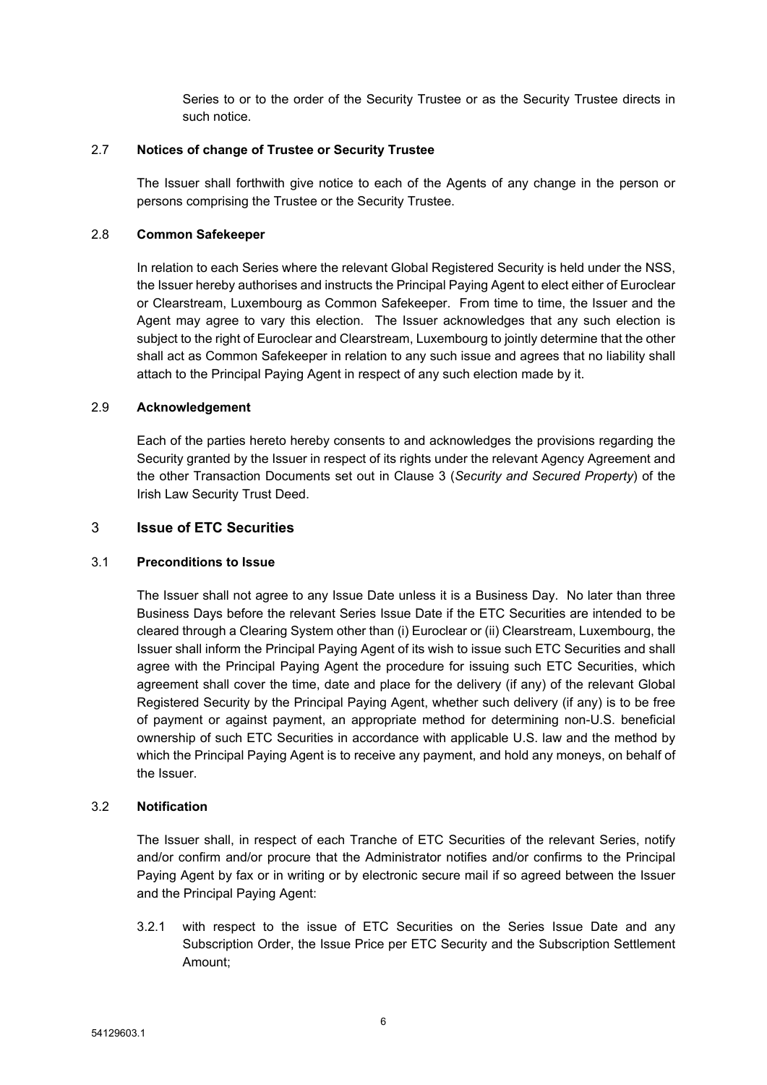Series to or to the order of the Security Trustee or as the Security Trustee directs in such notice.

## 2.7 **Notices of change of Trustee or Security Trustee**

The Issuer shall forthwith give notice to each of the Agents of any change in the person or persons comprising the Trustee or the Security Trustee.

## 2.8 **Common Safekeeper**

In relation to each Series where the relevant Global Registered Security is held under the NSS, the Issuer hereby authorises and instructs the Principal Paying Agent to elect either of Euroclear or Clearstream, Luxembourg as Common Safekeeper. From time to time, the Issuer and the Agent may agree to vary this election. The Issuer acknowledges that any such election is subject to the right of Euroclear and Clearstream, Luxembourg to jointly determine that the other shall act as Common Safekeeper in relation to any such issue and agrees that no liability shall attach to the Principal Paying Agent in respect of any such election made by it.

## 2.9 **Acknowledgement**

Each of the parties hereto hereby consents to and acknowledges the provisions regarding the Security granted by the Issuer in respect of its rights under the relevant Agency Agreement and the other Transaction Documents set out in Clause 3 (*Security and Secured Property*) of the Irish Law Security Trust Deed.

# <span id="page-7-0"></span>3 **Issue of ETC Securities**

## 3.1 **Preconditions to Issue**

The Issuer shall not agree to any Issue Date unless it is a Business Day. No later than three Business Days before the relevant Series Issue Date if the ETC Securities are intended to be cleared through a Clearing System other than (i) Euroclear or (ii) Clearstream, Luxembourg, the Issuer shall inform the Principal Paying Agent of its wish to issue such ETC Securities and shall agree with the Principal Paying Agent the procedure for issuing such ETC Securities, which agreement shall cover the time, date and place for the delivery (if any) of the relevant Global Registered Security by the Principal Paying Agent, whether such delivery (if any) is to be free of payment or against payment, an appropriate method for determining non-U.S. beneficial ownership of such ETC Securities in accordance with applicable U.S. law and the method by which the Principal Paying Agent is to receive any payment, and hold any moneys, on behalf of the Issuer.

# <span id="page-7-1"></span>3.2 **Notification**

The Issuer shall, in respect of each Tranche of ETC Securities of the relevant Series, notify and/or confirm and/or procure that the Administrator notifies and/or confirms to the Principal Paying Agent by fax or in writing or by electronic secure mail if so agreed between the Issuer and the Principal Paying Agent:

3.2.1 with respect to the issue of ETC Securities on the Series Issue Date and any Subscription Order, the Issue Price per ETC Security and the Subscription Settlement Amount;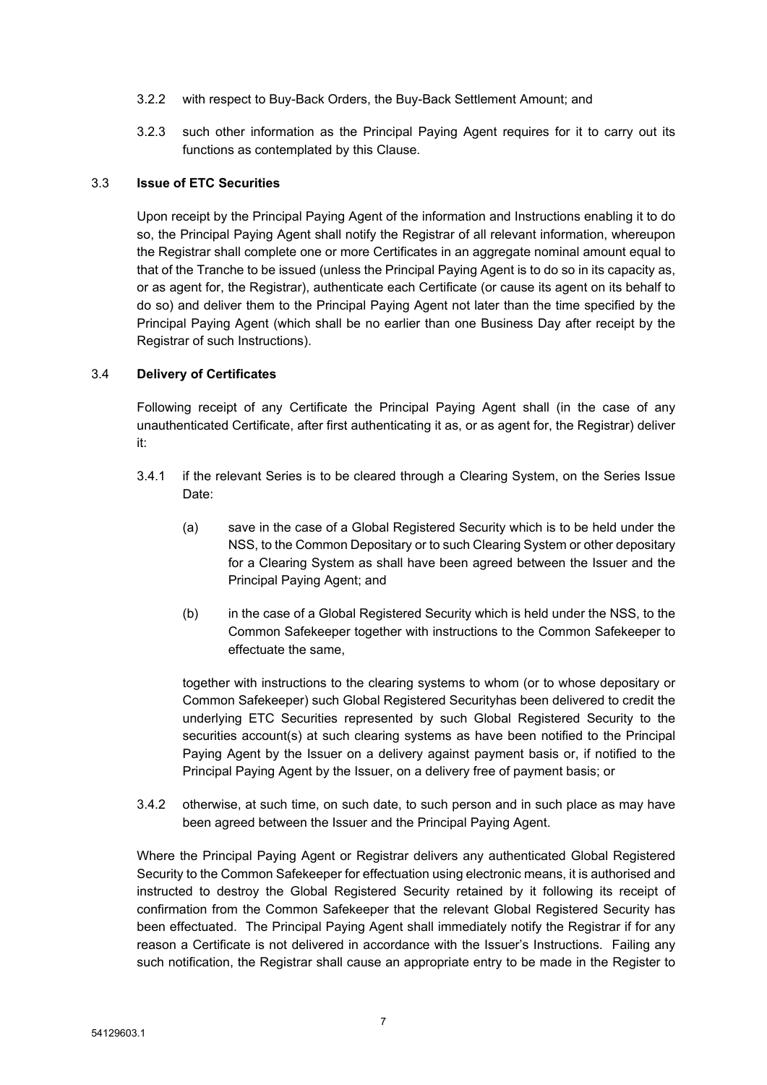- 3.2.2 with respect to Buy-Back Orders, the Buy-Back Settlement Amount; and
- 3.2.3 such other information as the Principal Paying Agent requires for it to carry out its functions as contemplated by this Clause.

### 3.3 **Issue of ETC Securities**

Upon receipt by the Principal Paying Agent of the information and Instructions enabling it to do so, the Principal Paying Agent shall notify the Registrar of all relevant information, whereupon the Registrar shall complete one or more Certificates in an aggregate nominal amount equal to that of the Tranche to be issued (unless the Principal Paying Agent is to do so in its capacity as, or as agent for, the Registrar), authenticate each Certificate (or cause its agent on its behalf to do so) and deliver them to the Principal Paying Agent not later than the time specified by the Principal Paying Agent (which shall be no earlier than one Business Day after receipt by the Registrar of such Instructions).

### 3.4 **Delivery of Certificates**

Following receipt of any Certificate the Principal Paying Agent shall (in the case of any unauthenticated Certificate, after first authenticating it as, or as agent for, the Registrar) deliver it:

- <span id="page-8-0"></span>3.4.1 if the relevant Series is to be cleared through a Clearing System, on the Series Issue Date:
	- (a) save in the case of a Global Registered Security which is to be held under the NSS, to the Common Depositary or to such Clearing System or other depositary for a Clearing System as shall have been agreed between the Issuer and the Principal Paying Agent; and
	- (b) in the case of a Global Registered Security which is held under the NSS, to the Common Safekeeper together with instructions to the Common Safekeeper to effectuate the same,

together with instructions to the clearing systems to whom (or to whose depositary or Common Safekeeper) such Global Registered Securityhas been delivered to credit the underlying ETC Securities represented by such Global Registered Security to the securities account(s) at such clearing systems as have been notified to the Principal Paying Agent by the Issuer on a delivery against payment basis or, if notified to the Principal Paying Agent by the Issuer, on a delivery free of payment basis; or

3.4.2 otherwise, at such time, on such date, to such person and in such place as may have been agreed between the Issuer and the Principal Paying Agent.

Where the Principal Paying Agent or Registrar delivers any authenticated Global Registered Security to the Common Safekeeper for effectuation using electronic means, it is authorised and instructed to destroy the Global Registered Security retained by it following its receipt of confirmation from the Common Safekeeper that the relevant Global Registered Security has been effectuated. The Principal Paying Agent shall immediately notify the Registrar if for any reason a Certificate is not delivered in accordance with the Issuer's Instructions. Failing any such notification, the Registrar shall cause an appropriate entry to be made in the Register to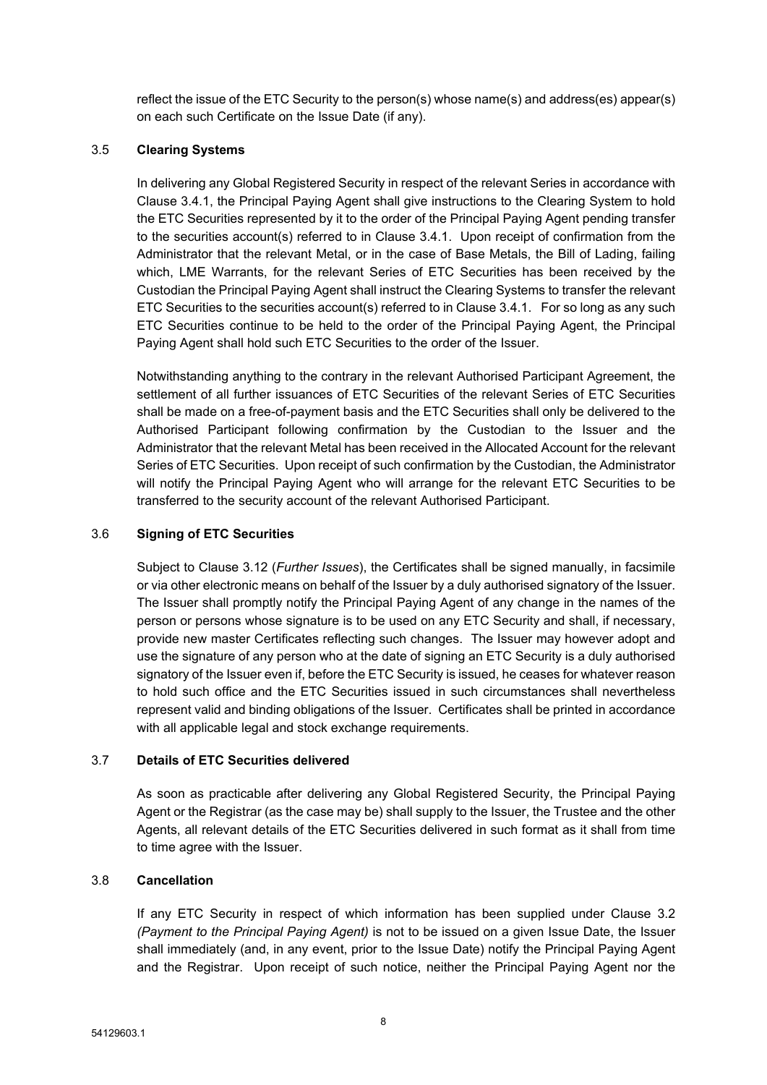reflect the issue of the ETC Security to the person(s) whose name(s) and address(es) appear(s) on each such Certificate on the Issue Date (if any).

## 3.5 **Clearing Systems**

In delivering any Global Registered Security in respect of the relevant Series in accordance with Clause [3.4.1,](#page-8-0) the Principal Paying Agent shall give instructions to the Clearing System to hold the ETC Securities represented by it to the order of the Principal Paying Agent pending transfer to the securities account(s) referred to in Clause [3.4.1](#page-8-0). Upon receipt of confirmation from the Administrator that the relevant Metal, or in the case of Base Metals, the Bill of Lading, failing which, LME Warrants, for the relevant Series of ETC Securities has been received by the Custodian the Principal Paying Agent shall instruct the Clearing Systems to transfer the relevant ETC Securities to the securities account(s) referred to in Clause [3.4.1](#page-8-0). For so long as any such ETC Securities continue to be held to the order of the Principal Paying Agent, the Principal Paying Agent shall hold such ETC Securities to the order of the Issuer.

Notwithstanding anything to the contrary in the relevant Authorised Participant Agreement, the settlement of all further issuances of ETC Securities of the relevant Series of ETC Securities shall be made on a free-of-payment basis and the ETC Securities shall only be delivered to the Authorised Participant following confirmation by the Custodian to the Issuer and the Administrator that the relevant Metal has been received in the Allocated Account for the relevant Series of ETC Securities. Upon receipt of such confirmation by the Custodian, the Administrator will notify the Principal Paying Agent who will arrange for the relevant ETC Securities to be transferred to the security account of the relevant Authorised Participant.

### 3.6 **Signing of ETC Securities**

Subject to Clause [3.12](#page-10-2) (*[Further](#page-10-2) Issues*), the Certificates shall be signed manually, in facsimile or via other electronic means on behalf of the Issuer by a duly authorised signatory of the Issuer. The Issuer shall promptly notify the Principal Paying Agent of any change in the names of the person or persons whose signature is to be used on any ETC Security and shall, if necessary, provide new master Certificates reflecting such changes. The Issuer may however adopt and use the signature of any person who at the date of signing an ETC Security is a duly authorised signatory of the Issuer even if, before the ETC Security is issued, he ceases for whatever reason to hold such office and the ETC Securities issued in such circumstances shall nevertheless represent valid and binding obligations of the Issuer. Certificates shall be printed in accordance with all applicable legal and stock exchange requirements.

## 3.7 **Details of ETC Securities delivered**

As soon as practicable after delivering any Global Registered Security, the Principal Paying Agent or the Registrar (as the case may be) shall supply to the Issuer, the Trustee and the other Agents, all relevant details of the ETC Securities delivered in such format as it shall from time to time agree with the Issuer.

## 3.8 **Cancellation**

If any ETC Security in respect of which information has been supplied under Clause [3.2](#page-7-1) *([Payment](#page-10-1) to the Principal Paying Agent)* is not to be issued on a given Issue Date, the Issuer shall immediately (and, in any event, prior to the Issue Date) notify the Principal Paying Agent and the Registrar. Upon receipt of such notice, neither the Principal Paying Agent nor the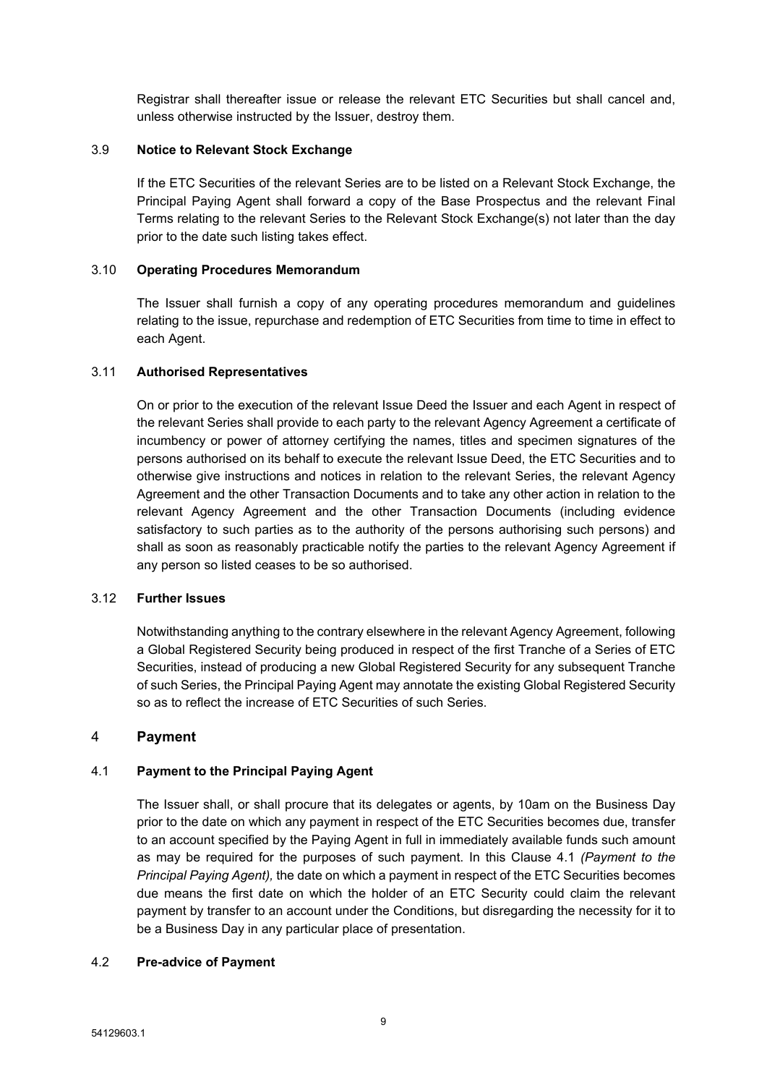Registrar shall thereafter issue or release the relevant ETC Securities but shall cancel and, unless otherwise instructed by the Issuer, destroy them.

## 3.9 **Notice to Relevant Stock Exchange**

If the ETC Securities of the relevant Series are to be listed on a Relevant Stock Exchange, the Principal Paying Agent shall forward a copy of the Base Prospectus and the relevant Final Terms relating to the relevant Series to the Relevant Stock Exchange(s) not later than the day prior to the date such listing takes effect.

### 3.10 **Operating Procedures Memorandum**

The Issuer shall furnish a copy of any operating procedures memorandum and guidelines relating to the issue, repurchase and redemption of ETC Securities from time to time in effect to each Agent.

### 3.11 **Authorised Representatives**

On or prior to the execution of the relevant Issue Deed the Issuer and each Agent in respect of the relevant Series shall provide to each party to the relevant Agency Agreement a certificate of incumbency or power of attorney certifying the names, titles and specimen signatures of the persons authorised on its behalf to execute the relevant Issue Deed, the ETC Securities and to otherwise give instructions and notices in relation to the relevant Series, the relevant Agency Agreement and the other Transaction Documents and to take any other action in relation to the relevant Agency Agreement and the other Transaction Documents (including evidence satisfactory to such parties as to the authority of the persons authorising such persons) and shall as soon as reasonably practicable notify the parties to the relevant Agency Agreement if any person so listed ceases to be so authorised.

## <span id="page-10-2"></span>3.12 **Further Issues**

Notwithstanding anything to the contrary elsewhere in the relevant Agency Agreement, following a Global Registered Security being produced in respect of the first Tranche of a Series of ETC Securities, instead of producing a new Global Registered Security for any subsequent Tranche of such Series, the Principal Paying Agent may annotate the existing Global Registered Security so as to reflect the increase of ETC Securities of such Series.

## <span id="page-10-0"></span>4 **Payment**

## <span id="page-10-1"></span>4.1 **Payment to the Principal Paying Agent**

The Issuer shall, or shall procure that its delegates or agents, by 10am on the Business Day prior to the date on which any payment in respect of the ETC Securities becomes due, transfer to an account specified by the Paying Agent in full in immediately available funds such amount as may be required for the purposes of such payment. In this Clause [4.1](#page-10-1) *([Payment](#page-10-1) to the [Principal](#page-10-1) Paying Agent),* the date on which a payment in respect of the ETC Securities becomes due means the first date on which the holder of an ETC Security could claim the relevant payment by transfer to an account under the Conditions, but disregarding the necessity for it to be a Business Day in any particular place of presentation.

#### <span id="page-10-3"></span>4.2 **Pre-advice of Payment**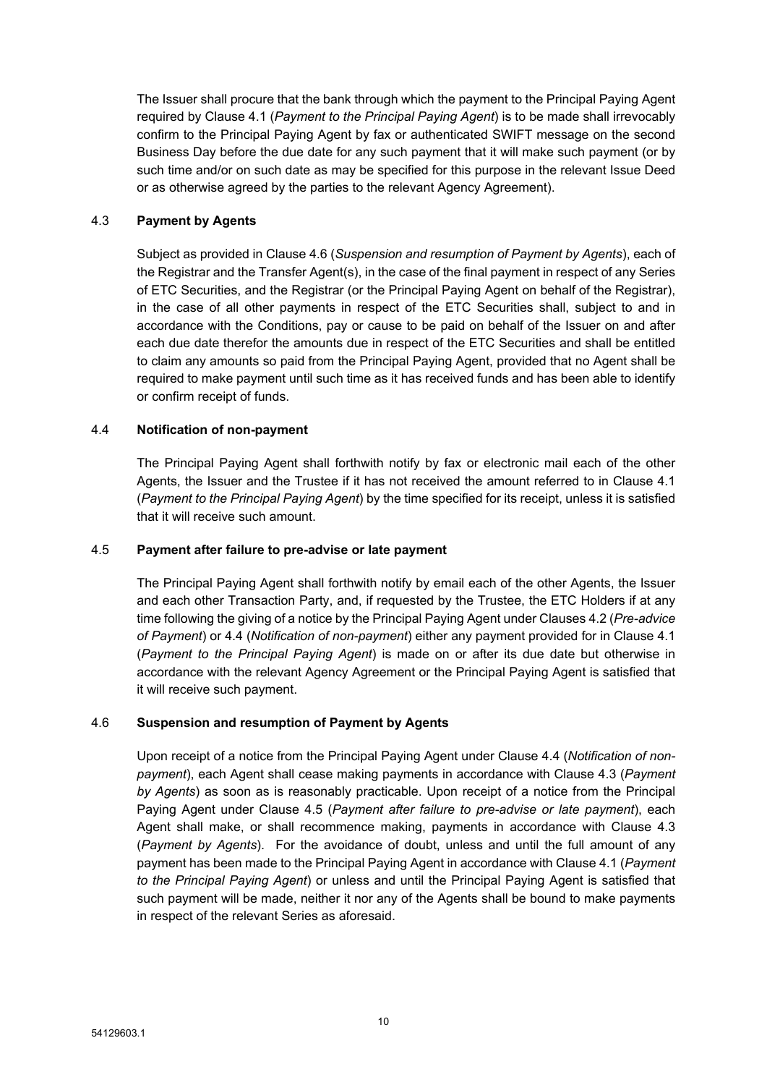The Issuer shall procure that the bank through which the payment to the Principal Paying Agent required by Clause [4.1](#page-10-1) (*[Payment](#page-10-1) to the Principal Paying Agent*) is to be made shall irrevocably confirm to the Principal Paying Agent by fax or authenticated SWIFT message on the second Business Day before the due date for any such payment that it will make such payment (or by such time and/or on such date as may be specified for this purpose in the relevant Issue Deed or as otherwise agreed by the parties to the relevant Agency Agreement).

## <span id="page-11-2"></span>4.3 **Payment by Agents**

Subject as provided in Clause [4.6](#page-11-0) (*[Suspension](#page-11-0) and resumption of Payment by Agents*), each of the Registrar and the Transfer Agent(s), in the case of the final payment in respect of any Series of ETC Securities, and the Registrar (or the Principal Paying Agent on behalf of the Registrar), in the case of all other payments in respect of the ETC Securities shall, subject to and in accordance with the Conditions, pay or cause to be paid on behalf of the Issuer on and after each due date therefor the amounts due in respect of the ETC Securities and shall be entitled to claim any amounts so paid from the Principal Paying Agent, provided that no Agent shall be required to make payment until such time as it has received funds and has been able to identify or confirm receipt of funds.

## <span id="page-11-1"></span>4.4 **Notification of non-payment**

The Principal Paying Agent shall forthwith notify by fax or electronic mail each of the other Agents, the Issuer and the Trustee if it has not received the amount referred to in Clause [4.1](#page-10-1) (*[Payment](#page-10-1) to the Principal Paying Agent*) by the time specified for its receipt, unless it is satisfied that it will receive such amount.

## <span id="page-11-3"></span>4.5 **Payment after failure to pre-advise or late payment**

The Principal Paying Agent shall forthwith notify by email each of the other Agents, the Issuer and each other Transaction Party, and, if requested by the Trustee, the ETC Holders if at any time following the giving of a notice by the Principal Paying Agent under Clauses [4.2](#page-10-3) (*[Pre-advice](#page-10-3) of [Payment](#page-10-3)*) or [4.4](#page-11-1) (*Notification of [non-payment](#page-11-1)*) either any payment provided for in Clause [4.1](#page-10-1) (*[Payment](#page-10-1) to the Principal Paying Agent*) is made on or after its due date but otherwise in accordance with the relevant Agency Agreement or the Principal Paying Agent is satisfied that it will receive such payment.

## <span id="page-11-0"></span>4.6 **Suspension and resumption of Payment by Agents**

Upon receipt of a notice from the Principal Paying Agent under Clause [4.4](#page-11-1) (*[Notification](#page-11-1) of non[payment](#page-11-1)*), each Agent shall cease making payments in accordance with Clause [4.3](#page-11-2) (*[Payment](#page-11-2) by [Agents](#page-11-2)*) as soon as is reasonably practicable. Upon receipt of a notice from the Principal Paying Agent under Clause [4.5](#page-11-3) (*Payment after failure to [pre-advise](#page-11-3) or late payment*), each Agent shall make, or shall recommence making, payments in accordance with Clause [4.3](#page-11-2) (*[Payment](#page-11-2) by Agents*). For the avoidance of doubt, unless and until the full amount of any payment has been made to the Principal Paying Agent in accordance with Clause [4.1](#page-10-1) (*[Payment](#page-10-1) to the [Principal](#page-10-1) Paying Agent*) or unless and until the Principal Paying Agent is satisfied that such payment will be made, neither it nor any of the Agents shall be bound to make payments in respect of the relevant Series as aforesaid.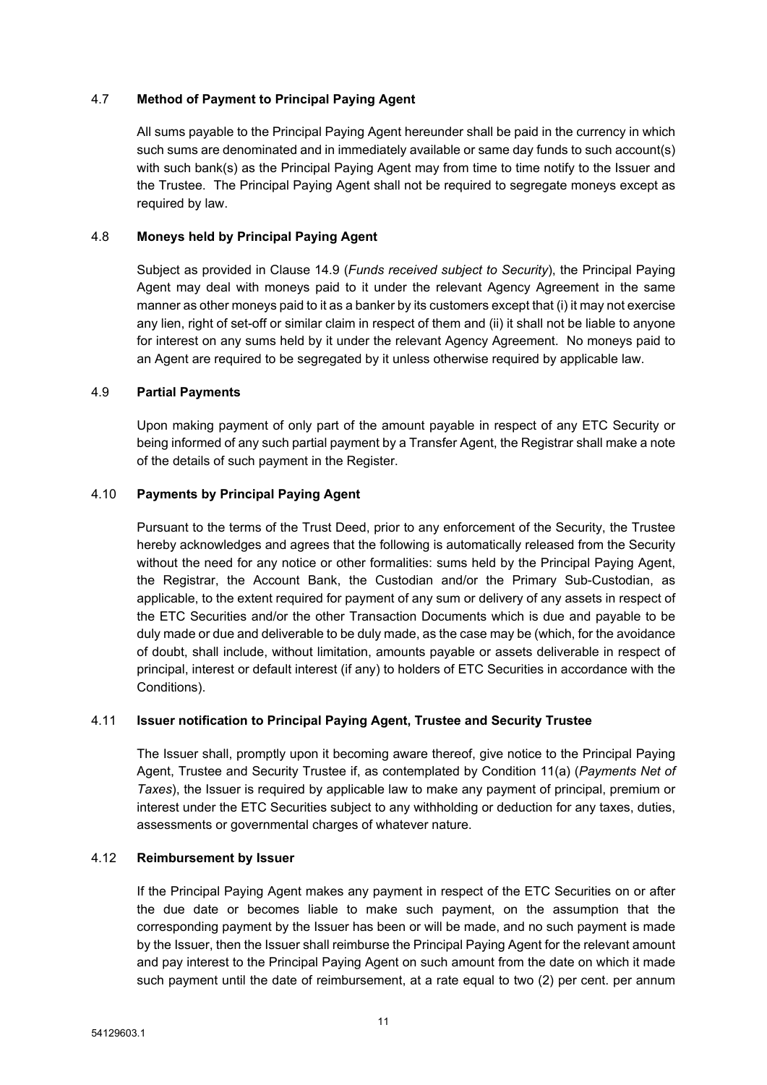## 4.7 **Method of Payment to Principal Paying Agent**

All sums payable to the Principal Paying Agent hereunder shall be paid in the currency in which such sums are denominated and in immediately available or same day funds to such account(s) with such bank(s) as the Principal Paying Agent may from time to time notify to the Issuer and the Trustee. The Principal Paying Agent shall not be required to segregate moneys except as required by law.

## 4.8 **Moneys held by Principal Paying Agent**

Subject as provided in Clause [14.9](#page-19-1) (*Funds [received](#page-19-1) subject to Security*), the Principal Paying Agent may deal with moneys paid to it under the relevant Agency Agreement in the same manner as other moneys paid to it as a banker by its customers except that (i) it may not exercise any lien, right of set-off or similar claim in respect of them and (ii) it shall not be liable to anyone for interest on any sums held by it under the relevant Agency Agreement. No moneys paid to an Agent are required to be segregated by it unless otherwise required by applicable law.

## 4.9 **Partial Payments**

Upon making payment of only part of the amount payable in respect of any ETC Security or being informed of any such partial payment by a Transfer Agent, the Registrar shall make a note of the details of such payment in the Register.

## 4.10 **Payments by Principal Paying Agent**

Pursuant to the terms of the Trust Deed, prior to any enforcement of the Security, the Trustee hereby acknowledges and agrees that the following is automatically released from the Security without the need for any notice or other formalities: sums held by the Principal Paying Agent, the Registrar, the Account Bank, the Custodian and/or the Primary Sub-Custodian, as applicable, to the extent required for payment of any sum or delivery of any assets in respect of the ETC Securities and/or the other Transaction Documents which is due and payable to be duly made or due and deliverable to be duly made, as the case may be (which, for the avoidance of doubt, shall include, without limitation, amounts payable or assets deliverable in respect of principal, interest or default interest (if any) to holders of ETC Securities in accordance with the Conditions).

## 4.11 **Issuer notification to Principal Paying Agent, Trustee and Security Trustee**

The Issuer shall, promptly upon it becoming aware thereof, give notice to the Principal Paying Agent, Trustee and Security Trustee if, as contemplated by Condition 11(a) (*Payments Net of Taxes*), the Issuer is required by applicable law to make any payment of principal, premium or interest under the ETC Securities subject to any withholding or deduction for any taxes, duties, assessments or governmental charges of whatever nature.

## 4.12 **Reimbursement by Issuer**

If the Principal Paying Agent makes any payment in respect of the ETC Securities on or after the due date or becomes liable to make such payment, on the assumption that the corresponding payment by the Issuer has been or will be made, and no such payment is made by the Issuer, then the Issuer shall reimburse the Principal Paying Agent for the relevant amount and pay interest to the Principal Paying Agent on such amount from the date on which it made such payment until the date of reimbursement, at a rate equal to two (2) per cent, per annum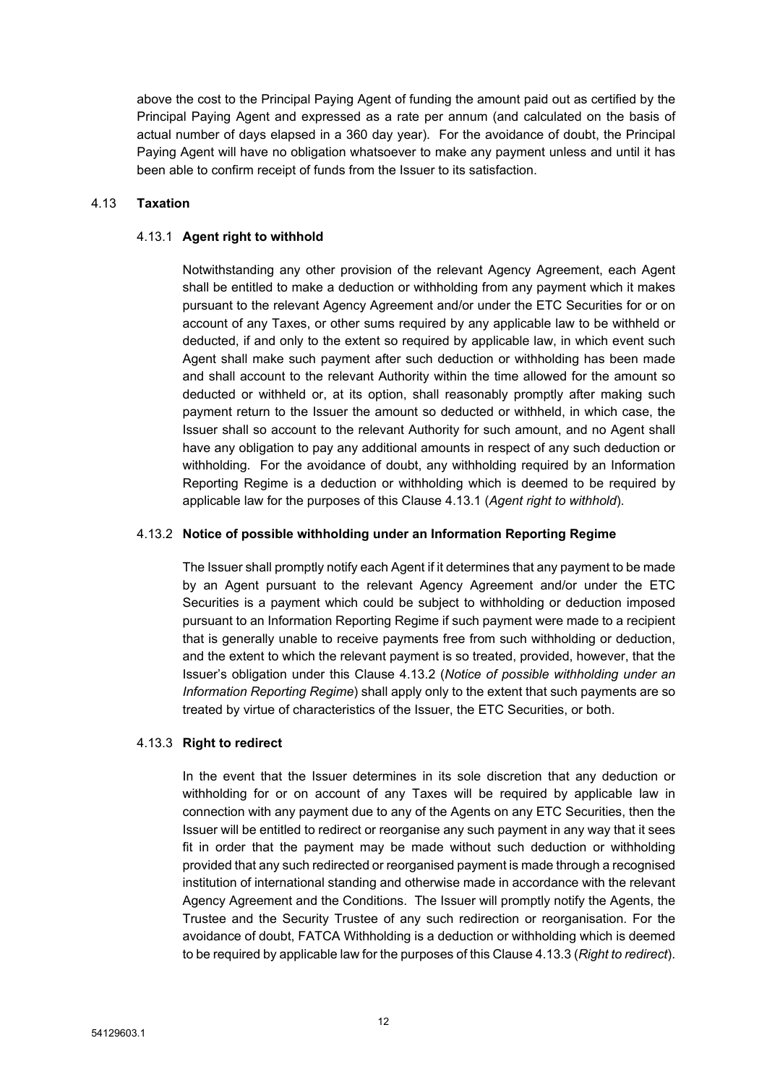above the cost to the Principal Paying Agent of funding the amount paid out as certified by the Principal Paying Agent and expressed as a rate per annum (and calculated on the basis of actual number of days elapsed in a 360 day year). For the avoidance of doubt, the Principal Paying Agent will have no obligation whatsoever to make any payment unless and until it has been able to confirm receipt of funds from the Issuer to its satisfaction.

## <span id="page-13-3"></span>4.13 **Taxation**

### <span id="page-13-0"></span>4.13.1 **Agent right to withhold**

Notwithstanding any other provision of the relevant Agency Agreement, each Agent shall be entitled to make a deduction or withholding from any payment which it makes pursuant to the relevant Agency Agreement and/or under the ETC Securities for or on account of any Taxes, or other sums required by any applicable law to be withheld or deducted, if and only to the extent so required by applicable law, in which event such Agent shall make such payment after such deduction or withholding has been made and shall account to the relevant Authority within the time allowed for the amount so deducted or withheld or, at its option, shall reasonably promptly after making such payment return to the Issuer the amount so deducted or withheld, in which case, the Issuer shall so account to the relevant Authority for such amount, and no Agent shall have any obligation to pay any additional amounts in respect of any such deduction or withholding. For the avoidance of doubt, any withholding required by an Information Reporting Regime is a deduction or withholding which is deemed to be required by applicable law for the purposes of this Clause [4.13.1](#page-13-0) (*Agent right to [withhold](#page-13-0)*).

### <span id="page-13-1"></span>4.13.2 **Notice of possible withholding under an Information Reporting Regime**

The Issuer shall promptly notify each Agent if it determines that any payment to be made by an Agent pursuant to the relevant Agency Agreement and/or under the ETC Securities is a payment which could be subject to withholding or deduction imposed pursuant to an Information Reporting Regime if such payment were made to a recipient that is generally unable to receive payments free from such withholding or deduction, and the extent to which the relevant payment is so treated, provided, however, that the Issuer's obligation under this Clause [4.13.2](#page-13-1) (*Notice of possible [withholding](#page-13-1) under an [Information](#page-13-1) Reporting Regime*) shall apply only to the extent that such payments are so treated by virtue of characteristics of the Issuer, the ETC Securities, or both.

## <span id="page-13-2"></span>4.13.3 **Right to redirect**

In the event that the Issuer determines in its sole discretion that any deduction or withholding for or on account of any Taxes will be required by applicable law in connection with any payment due to any of the Agents on any ETC Securities, then the Issuer will be entitled to redirect or reorganise any such payment in any way that it sees fit in order that the payment may be made without such deduction or withholding provided that any such redirected or reorganised payment is made through a recognised institution of international standing and otherwise made in accordance with the relevant Agency Agreement and the Conditions. The Issuer will promptly notify the Agents, the Trustee and the Security Trustee of any such redirection or reorganisation. For the avoidance of doubt, FATCA Withholding is a deduction or withholding which is deemed to be required by applicable law for the purposes of this Clause [4.13.3](#page-13-2) (*Right to [redirect](#page-13-2)*).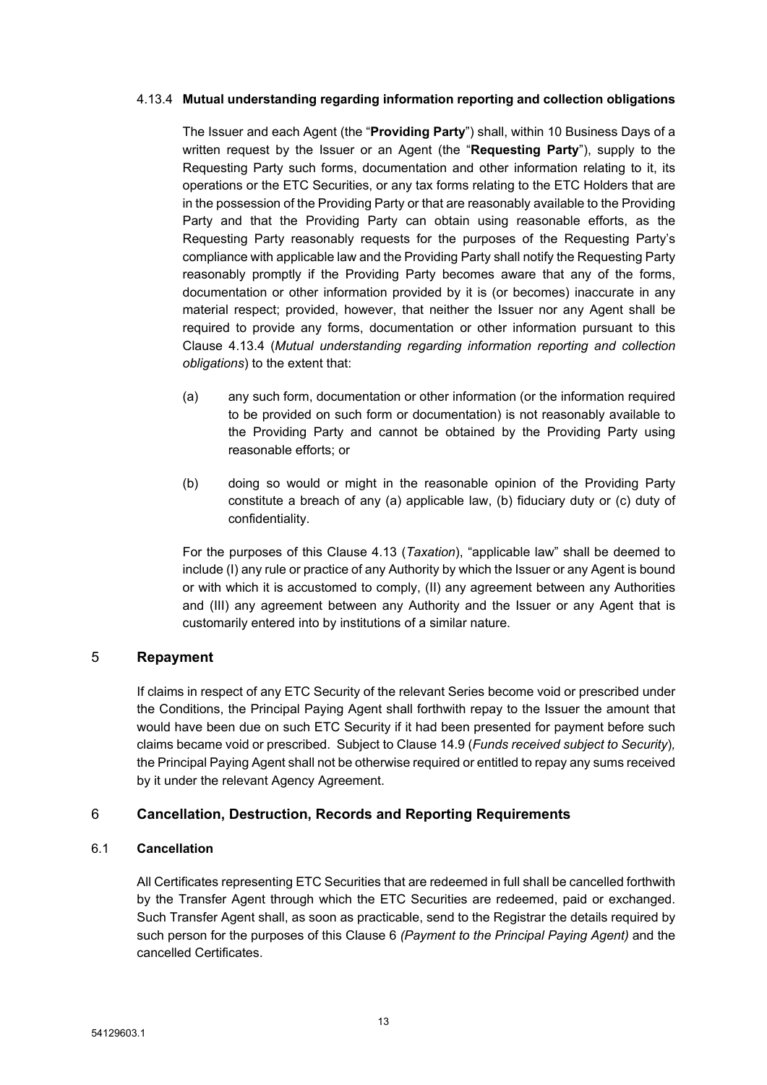## <span id="page-14-2"></span>4.13.4 **Mutual understanding regarding information reporting and collection obligations**

The Issuer and each Agent (the "**Providing Party**") shall, within 10 Business Days of a written request by the Issuer or an Agent (the "**Requesting Party**"), supply to the Requesting Party such forms, documentation and other information relating to it, its operations or the ETC Securities, or any tax forms relating to the ETC Holders that are in the possession of the Providing Party or that are reasonably available to the Providing Party and that the Providing Party can obtain using reasonable efforts, as the Requesting Party reasonably requests for the purposes of the Requesting Party's compliance with applicable law and the Providing Party shall notify the Requesting Party reasonably promptly if the Providing Party becomes aware that any of the forms, documentation or other information provided by it is (or becomes) inaccurate in any material respect; provided, however, that neither the Issuer nor any Agent shall be required to provide any forms, documentation or other information pursuant to this Clause [4.13.4](#page-14-2) (*Mutual [understanding](#page-14-2) regarding information reporting and collection [obligations](#page-14-2)*) to the extent that:

- (a) any such form, documentation or other information (or the information required to be provided on such form or documentation) is not reasonably available to the Providing Party and cannot be obtained by the Providing Party using reasonable efforts; or
- (b) doing so would or might in the reasonable opinion of the Providing Party constitute a breach of any (a) applicable law, (b) fiduciary duty or (c) duty of confidentiality.

For the purposes of this Clause [4.13](#page-13-3) (*[Taxation](#page-13-3)*), "applicable law" shall be deemed to include (I) any rule or practice of any Authority by which the Issuer or any Agent is bound or with which it is accustomed to comply, (II) any agreement between any Authorities and (III) any agreement between any Authority and the Issuer or any Agent that is customarily entered into by institutions of a similar nature.

# <span id="page-14-0"></span>5 **Repayment**

If claims in respect of any ETC Security of the relevant Series become void or prescribed under the Conditions, the Principal Paying Agent shall forthwith repay to the Issuer the amount that would have been due on such ETC Security if it had been presented for payment before such claims became void or prescribed. Subject to Clause [14.9](#page-19-1) (*Funds [received](#page-19-1) subject to Security*)*,* the Principal Paying Agent shall not be otherwise required or entitled to repay any sums received by it under the relevant Agency Agreement.

# <span id="page-14-1"></span>6 **Cancellation, Destruction, Records and Reporting Requirements**

## 6.1 **Cancellation**

All Certificates representing ETC Securities that are redeemed in full shall be cancelled forthwith by the Transfer Agent through which the ETC Securities are redeemed, paid or exchanged. Such Transfer Agent shall, as soon as practicable, send to the Registrar the details required by such person for the purposes of this Clause [6](#page-14-1) *[\(Payment](#page-10-1) to the Principal Paying Agent)* and the cancelled Certificates.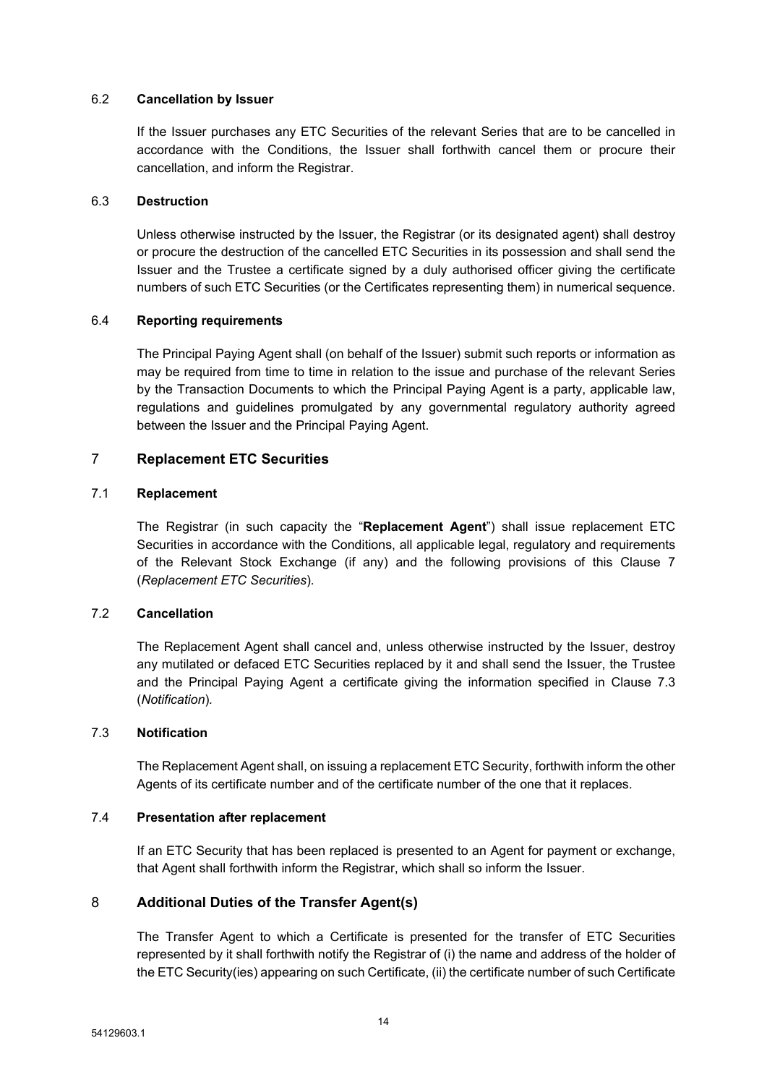### 6.2 **Cancellation by Issuer**

If the Issuer purchases any ETC Securities of the relevant Series that are to be cancelled in accordance with the Conditions, the Issuer shall forthwith cancel them or procure their cancellation, and inform the Registrar.

## 6.3 **Destruction**

Unless otherwise instructed by the Issuer, the Registrar (or its designated agent) shall destroy or procure the destruction of the cancelled ETC Securities in its possession and shall send the Issuer and the Trustee a certificate signed by a duly authorised officer giving the certificate numbers of such ETC Securities (or the Certificates representing them) in numerical sequence.

## 6.4 **Reporting requirements**

The Principal Paying Agent shall (on behalf of the Issuer) submit such reports or information as may be required from time to time in relation to the issue and purchase of the relevant Series by the Transaction Documents to which the Principal Paying Agent is a party, applicable law, regulations and guidelines promulgated by any governmental regulatory authority agreed between the Issuer and the Principal Paying Agent.

## <span id="page-15-0"></span>7 **Replacement ETC Securities**

### 7.1 **Replacement**

The Registrar (in such capacity the "**Replacement Agent**") shall issue replacement ETC Securities in accordance with the Conditions, all applicable legal, regulatory and requirements of the Relevant Stock Exchange (if any) and the following provisions of this Clause [7](#page-15-0) (*[Replacement](#page-15-0) ETC Securities*)*.*

## 7.2 **Cancellation**

The Replacement Agent shall cancel and, unless otherwise instructed by the Issuer, destroy any mutilated or defaced ETC Securities replaced by it and shall send the Issuer, the Trustee and the Principal Paying Agent a certificate giving the information specified in Clause [7.3](#page-15-2) (*[Notification](#page-15-2)*)*.*

### <span id="page-15-2"></span>7.3 **Notification**

The Replacement Agent shall, on issuing a replacement ETC Security, forthwith inform the other Agents of its certificate number and of the certificate number of the one that it replaces.

#### 7.4 **Presentation after replacement**

If an ETC Security that has been replaced is presented to an Agent for payment or exchange, that Agent shall forthwith inform the Registrar, which shall so inform the Issuer.

## <span id="page-15-1"></span>8 **Additional Duties of the Transfer Agent(s)**

The Transfer Agent to which a Certificate is presented for the transfer of ETC Securities represented by it shall forthwith notify the Registrar of (i) the name and address of the holder of the ETC Security(ies) appearing on such Certificate, (ii) the certificate number of such Certificate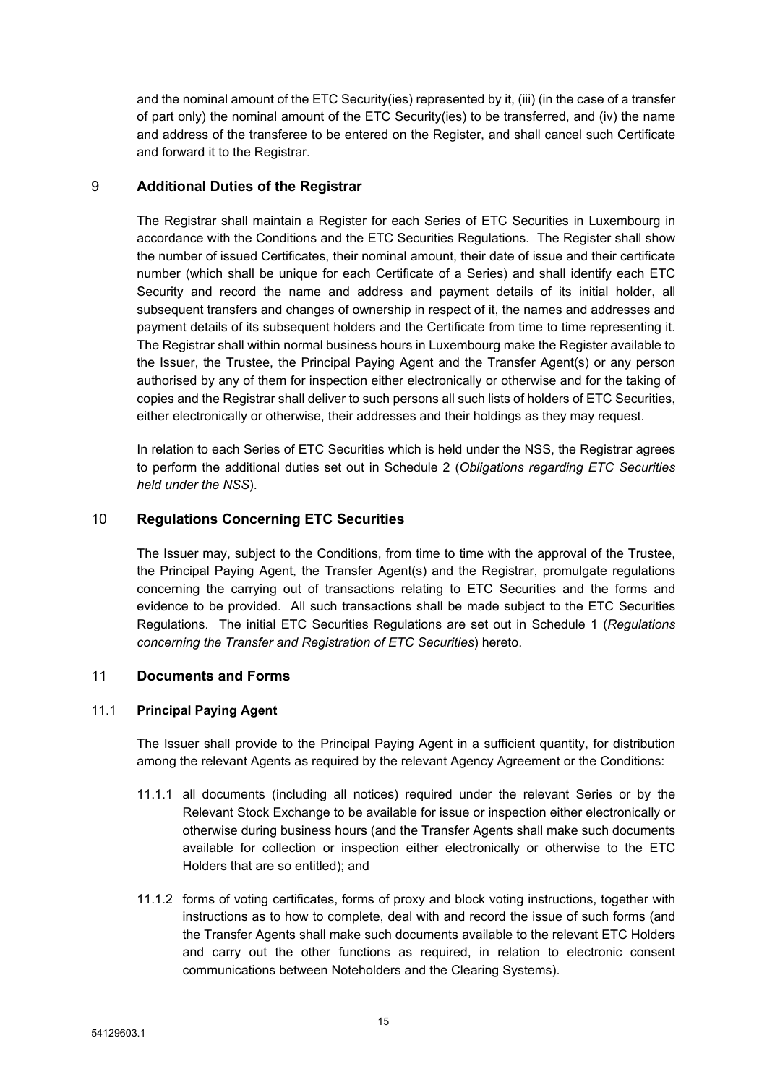and the nominal amount of the ETC Security(ies) represented by it, (iii) (in the case of a transfer of part only) the nominal amount of the ETC Security(ies) to be transferred, and (iv) the name and address of the transferee to be entered on the Register, and shall cancel such Certificate and forward it to the Registrar.

# <span id="page-16-0"></span>9 **Additional Duties of the Registrar**

The Registrar shall maintain a Register for each Series of ETC Securities in Luxembourg in accordance with the Conditions and the ETC Securities Regulations. The Register shall show the number of issued Certificates, their nominal amount, their date of issue and their certificate number (which shall be unique for each Certificate of a Series) and shall identify each ETC Security and record the name and address and payment details of its initial holder, all subsequent transfers and changes of ownership in respect of it, the names and addresses and payment details of its subsequent holders and the Certificate from time to time representing it. The Registrar shall within normal business hours in Luxembourg make the Register available to the Issuer, the Trustee, the Principal Paying Agent and the Transfer Agent(s) or any person authorised by any of them for inspection either electronically or otherwise and for the taking of copies and the Registrar shall deliver to such persons all such lists of holders of ETC Securities, either electronically or otherwise, their addresses and their holdings as they may request.

In relation to each Series of ETC Securities which is held under the NSS, the Registrar agrees to perform the additional duties set out in [Schedule](#page-30-0) 2 (*[Obligations](#page-30-1) regarding ETC Securities held [under](#page-30-1) the NSS*).

# <span id="page-16-1"></span>10 **Regulations Concerning ETC Securities**

The Issuer may, subject to the Conditions, from time to time with the approval of the Trustee, the Principal Paying Agent, the Transfer Agent(s) and the Registrar, promulgate regulations concerning the carrying out of transactions relating to ETC Securities and the forms and evidence to be provided. All such transactions shall be made subject to the ETC Securities Regulations. The initial ETC Securities Regulations are set out in [Schedule](#page-29-0) 1 (*[Regulations](#page-29-1) concerning the Transfer and [Registration](#page-29-1) of ETC Securities*) hereto.

# <span id="page-16-2"></span>11 **Documents and Forms**

## 11.1 **Principal Paying Agent**

The Issuer shall provide to the Principal Paying Agent in a sufficient quantity, for distribution among the relevant Agents as required by the relevant Agency Agreement or the Conditions:

- 11.1.1 all documents (including all notices) required under the relevant Series or by the Relevant Stock Exchange to be available for issue or inspection either electronically or otherwise during business hours (and the Transfer Agents shall make such documents available for collection or inspection either electronically or otherwise to the ETC Holders that are so entitled); and
- 11.1.2 forms of voting certificates, forms of proxy and block voting instructions, together with instructions as to how to complete, deal with and record the issue of such forms (and the Transfer Agents shall make such documents available to the relevant ETC Holders and carry out the other functions as required, in relation to electronic consent communications between Noteholders and the Clearing Systems).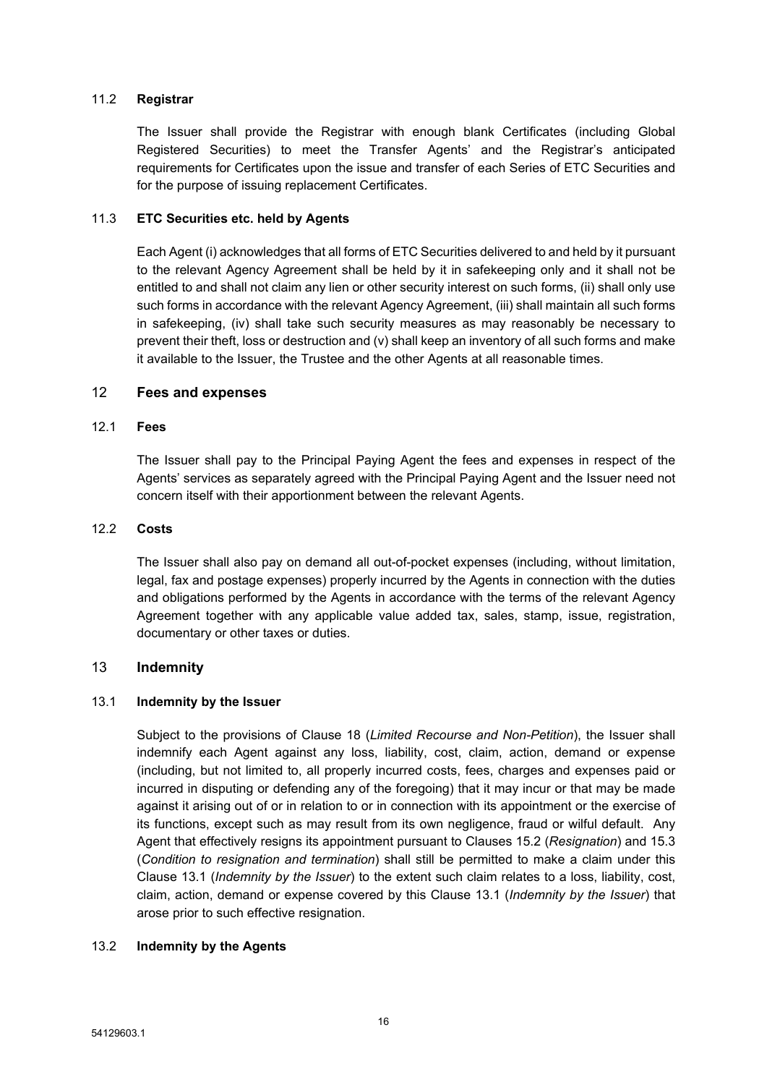## 11.2 **Registrar**

The Issuer shall provide the Registrar with enough blank Certificates (including Global Registered Securities) to meet the Transfer Agents' and the Registrar's anticipated requirements for Certificates upon the issue and transfer of each Series of ETC Securities and for the purpose of issuing replacement Certificates.

## 11.3 **ETC Securities etc. held by Agents**

Each Agent (i) acknowledges that all forms of ETC Securities delivered to and held by it pursuant to the relevant Agency Agreement shall be held by it in safekeeping only and it shall not be entitled to and shall not claim any lien or other security interest on such forms, (ii) shall only use such forms in accordance with the relevant Agency Agreement, (iii) shall maintain all such forms in safekeeping, (iv) shall take such security measures as may reasonably be necessary to prevent their theft, loss or destruction and (v) shall keep an inventory of all such forms and make it available to the Issuer, the Trustee and the other Agents at all reasonable times.

## <span id="page-17-0"></span>12 **Fees and expenses**

## 12.1 **Fees**

The Issuer shall pay to the Principal Paying Agent the fees and expenses in respect of the Agents' services as separately agreed with the Principal Paying Agent and the Issuer need not concern itself with their apportionment between the relevant Agents.

### 12.2 **Costs**

The Issuer shall also pay on demand all out-of-pocket expenses (including, without limitation, legal, fax and postage expenses) properly incurred by the Agents in connection with the duties and obligations performed by the Agents in accordance with the terms of the relevant Agency Agreement together with any applicable value added tax, sales, stamp, issue, registration, documentary or other taxes or duties.

## <span id="page-17-1"></span>13 **Indemnity**

## <span id="page-17-2"></span>13.1 **Indemnity by the Issuer**

Subject to the provisions of Clause [18](#page-25-0) (*Limited Recourse and [Non-Petition](#page-25-0)*), the Issuer shall indemnify each Agent against any loss, liability, cost, claim, action, demand or expense (including, but not limited to, all properly incurred costs, fees, charges and expenses paid or incurred in disputing or defending any of the foregoing) that it may incur or that may be made against it arising out of or in relation to or in connection with its appointment or the exercise of its functions, except such as may result from its own negligence, fraud or wilful default. Any Agent that effectively resigns its appointment pursuant to Clauses [15.2](#page-22-1) (*[Resignation](#page-22-1)*) and [15.3](#page-22-2) (*Condition to resignation and [termination](#page-22-2)*) shall still be permitted to make a claim under this Clause [13.1](#page-17-2) (*[Indemnity](#page-17-2) by the Issuer*) to the extent such claim relates to a loss, liability, cost, claim, action, demand or expense covered by this Clause [13.1](#page-17-2) (*[Indemnity](#page-17-2) by the Issuer*) that arose prior to such effective resignation.

# <span id="page-17-3"></span>13.2 **Indemnity by the Agents**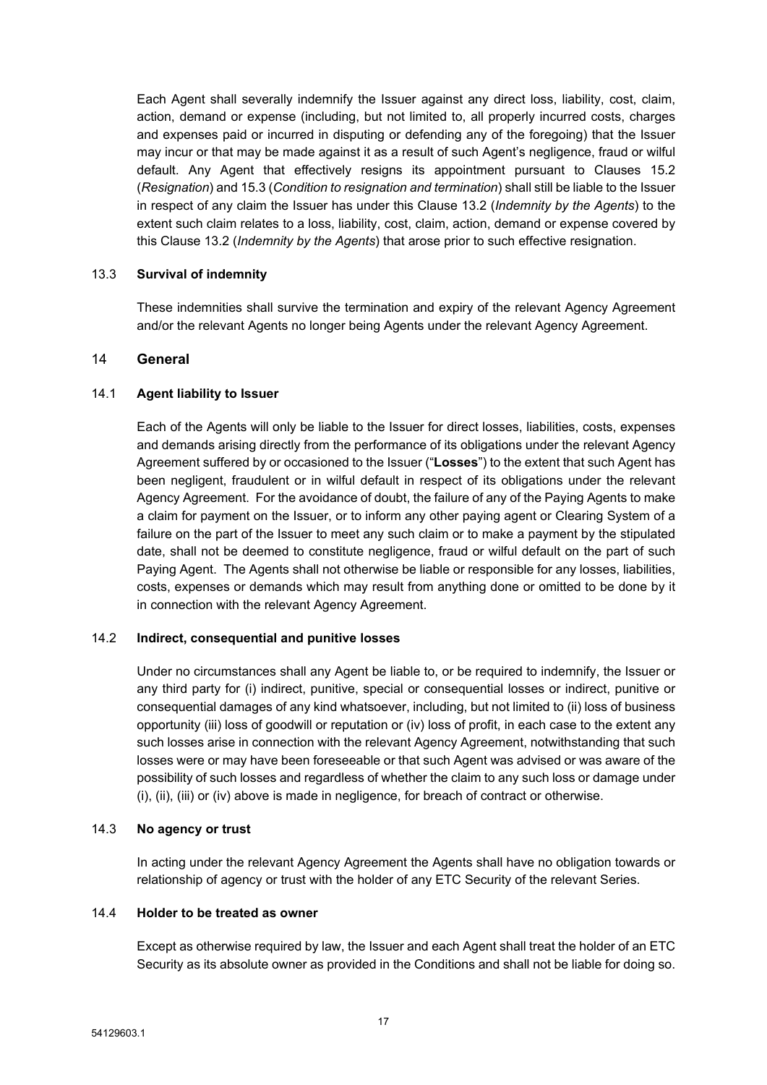Each Agent shall severally indemnify the Issuer against any direct loss, liability, cost, claim, action, demand or expense (including, but not limited to, all properly incurred costs, charges and expenses paid or incurred in disputing or defending any of the foregoing) that the Issuer may incur or that may be made against it as a result of such Agent's negligence, fraud or wilful default. Any Agent that effectively resigns its appointment pursuant to Clauses [15.2](#page-22-1) (*[Resignation](#page-22-1)*) and [15.3](#page-22-2) (*Condition to resignation and [termination](#page-22-2)*) shall still be liable to the Issuer in respect of any claim the Issuer has under this Clause [13.2](#page-17-3) (*[Indemnity](#page-17-3) by the Agents*) to the extent such claim relates to a loss, liability, cost, claim, action, demand or expense covered by this Clause [13.2](#page-17-3) (*[Indemnity](#page-17-3) by the Agents*) that arose prior to such effective resignation.

## 13.3 **Survival of indemnity**

These indemnities shall survive the termination and expiry of the relevant Agency Agreement and/or the relevant Agents no longer being Agents under the relevant Agency Agreement.

# <span id="page-18-0"></span>14 **General**

## 14.1 **Agent liability to Issuer**

Each of the Agents will only be liable to the Issuer for direct losses, liabilities, costs, expenses and demands arising directly from the performance of its obligations under the relevant Agency Agreement suffered by or occasioned to the Issuer ("**Losses**") to the extent that such Agent has been negligent, fraudulent or in wilful default in respect of its obligations under the relevant Agency Agreement. For the avoidance of doubt, the failure of any of the Paying Agents to make a claim for payment on the Issuer, or to inform any other paying agent or Clearing System of a failure on the part of the Issuer to meet any such claim or to make a payment by the stipulated date, shall not be deemed to constitute negligence, fraud or wilful default on the part of such Paying Agent. The Agents shall not otherwise be liable or responsible for any losses, liabilities, costs, expenses or demands which may result from anything done or omitted to be done by it in connection with the relevant Agency Agreement.

## 14.2 **Indirect, consequential and punitive losses**

Under no circumstances shall any Agent be liable to, or be required to indemnify, the Issuer or any third party for (i) indirect, punitive, special or consequential losses or indirect, punitive or consequential damages of any kind whatsoever, including, but not limited to (ii) loss of business opportunity (iii) loss of goodwill or reputation or (iv) loss of profit, in each case to the extent any such losses arise in connection with the relevant Agency Agreement, notwithstanding that such losses were or may have been foreseeable or that such Agent was advised or was aware of the possibility of such losses and regardless of whether the claim to any such loss or damage under (i), (ii), (iii) or (iv) above is made in negligence, for breach of contract or otherwise.

## 14.3 **No agency or trust**

In acting under the relevant Agency Agreement the Agents shall have no obligation towards or relationship of agency or trust with the holder of any ETC Security of the relevant Series.

## 14.4 **Holder to be treated as owner**

Except as otherwise required by law, the Issuer and each Agent shall treat the holder of an ETC Security as its absolute owner as provided in the Conditions and shall not be liable for doing so.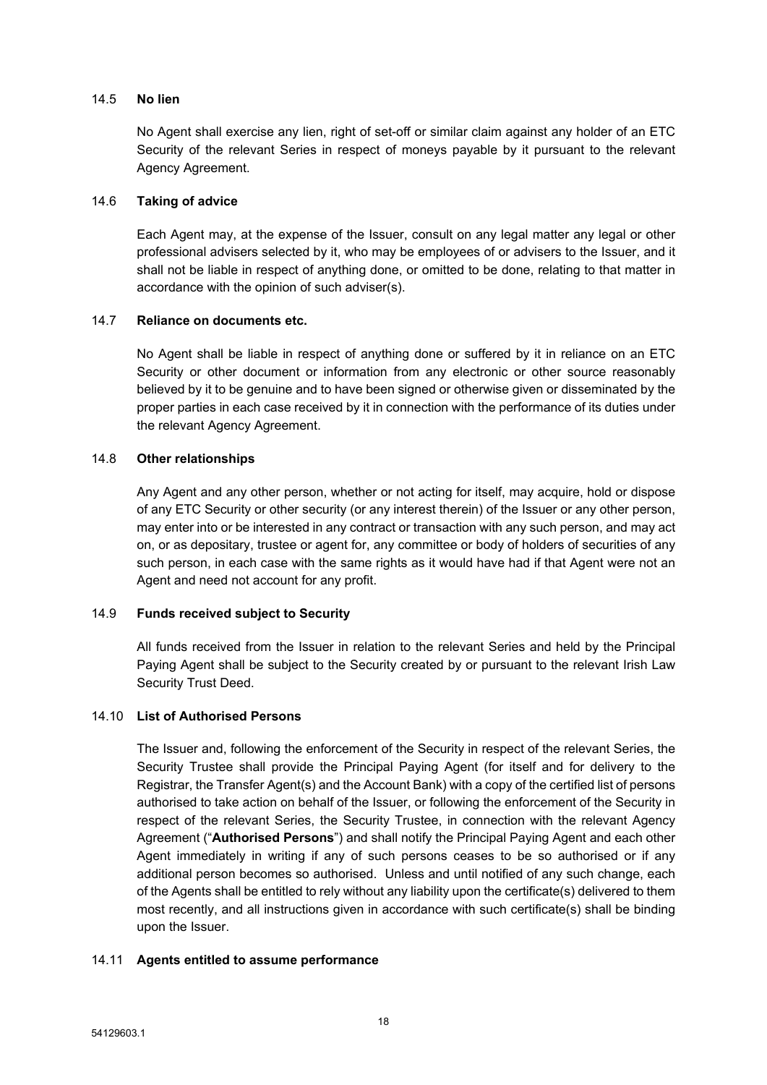### 14.5 **No lien**

No Agent shall exercise any lien, right of set-off or similar claim against any holder of an ETC Security of the relevant Series in respect of moneys payable by it pursuant to the relevant Agency Agreement.

### 14.6 **Taking of advice**

Each Agent may, at the expense of the Issuer, consult on any legal matter any legal or other professional advisers selected by it, who may be employees of or advisers to the Issuer, and it shall not be liable in respect of anything done, or omitted to be done, relating to that matter in accordance with the opinion of such adviser(s).

## 14.7 **Reliance on documents etc.**

No Agent shall be liable in respect of anything done or suffered by it in reliance on an ETC Security or other document or information from any electronic or other source reasonably believed by it to be genuine and to have been signed or otherwise given or disseminated by the proper parties in each case received by it in connection with the performance of its duties under the relevant Agency Agreement.

# 14.8 **Other relationships**

Any Agent and any other person, whether or not acting for itself, may acquire, hold or dispose of any ETC Security or other security (or any interest therein) of the Issuer or any other person, may enter into or be interested in any contract or transaction with any such person, and may act on, or as depositary, trustee or agent for, any committee or body of holders of securities of any such person, in each case with the same rights as it would have had if that Agent were not an Agent and need not account for any profit.

## <span id="page-19-1"></span>14.9 **Funds received subject to Security**

All funds received from the Issuer in relation to the relevant Series and held by the Principal Paying Agent shall be subject to the Security created by or pursuant to the relevant Irish Law Security Trust Deed.

## <span id="page-19-0"></span>14.10 **List of Authorised Persons**

The Issuer and, following the enforcement of the Security in respect of the relevant Series, the Security Trustee shall provide the Principal Paying Agent (for itself and for delivery to the Registrar, the Transfer Agent(s) and the Account Bank) with a copy of the certified list of persons authorised to take action on behalf of the Issuer, or following the enforcement of the Security in respect of the relevant Series, the Security Trustee, in connection with the relevant Agency Agreement ("**Authorised Persons**") and shall notify the Principal Paying Agent and each other Agent immediately in writing if any of such persons ceases to be so authorised or if any additional person becomes so authorised. Unless and until notified of any such change, each of the Agents shall be entitled to rely without any liability upon the certificate(s) delivered to them most recently, and all instructions given in accordance with such certificate(s) shall be binding upon the Issuer.

## 14.11 **Agents entitled to assume performance**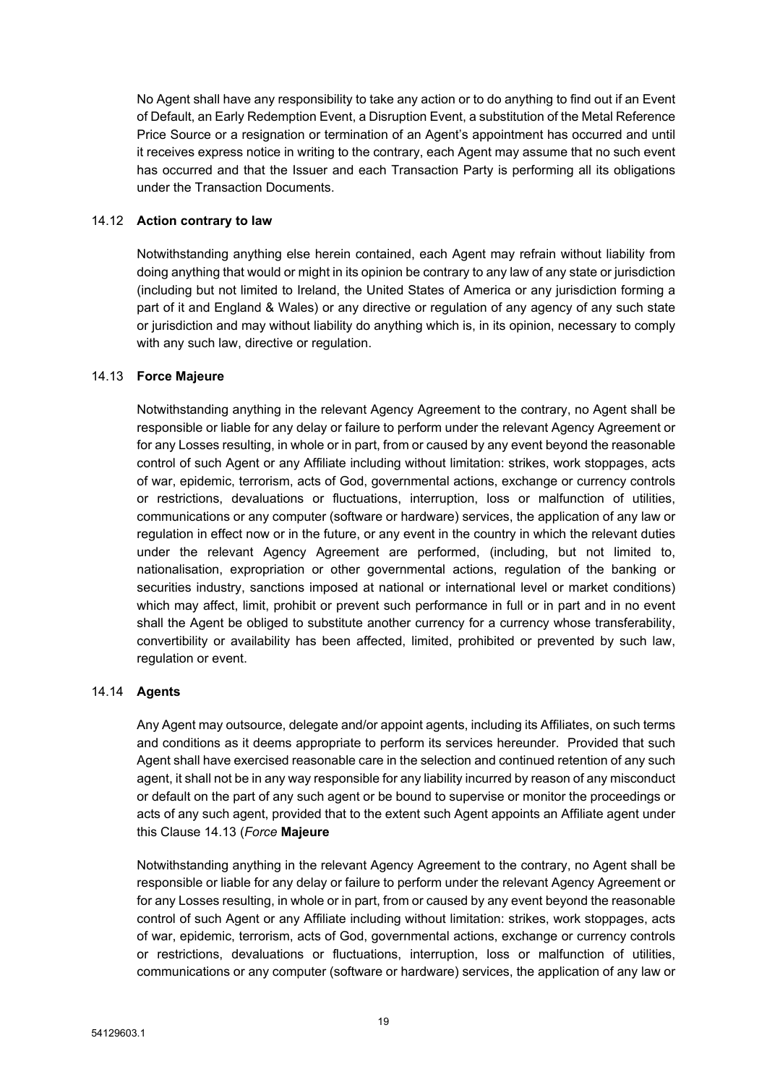No Agent shall have any responsibility to take any action or to do anything to find out if an Event of Default, an Early Redemption Event, a Disruption Event, a substitution of the Metal Reference Price Source or a resignation or termination of an Agent's appointment has occurred and until it receives express notice in writing to the contrary, each Agent may assume that no such event has occurred and that the Issuer and each Transaction Party is performing all its obligations under the Transaction Documents.

## 14.12 **Action contrary to law**

Notwithstanding anything else herein contained, each Agent may refrain without liability from doing anything that would or might in its opinion be contrary to any law of any state or jurisdiction (including but not limited to Ireland, the United States of America or any jurisdiction forming a part of it and England & Wales) or any directive or regulation of any agency of any such state or jurisdiction and may without liability do anything which is, in its opinion, necessary to comply with any such law, directive or regulation.

## <span id="page-20-0"></span>14.13 **Force Majeure**

Notwithstanding anything in the relevant Agency Agreement to the contrary, no Agent shall be responsible or liable for any delay or failure to perform under the relevant Agency Agreement or for any Losses resulting, in whole or in part, from or caused by any event beyond the reasonable control of such Agent or any Affiliate including without limitation: strikes, work stoppages, acts of war, epidemic, terrorism, acts of God, governmental actions, exchange or currency controls or restrictions, devaluations or fluctuations, interruption, loss or malfunction of utilities, communications or any computer (software or hardware) services, the application of any law or regulation in effect now or in the future, or any event in the country in which the relevant duties under the relevant Agency Agreement are performed, (including, but not limited to, nationalisation, expropriation or other governmental actions, regulation of the banking or securities industry, sanctions imposed at national or international level or market conditions) which may affect, limit, prohibit or prevent such performance in full or in part and in no event shall the Agent be obliged to substitute another currency for a currency whose transferability, convertibility or availability has been affected, limited, prohibited or prevented by such law, regulation or event.

## 14.14 **Agents**

Any Agent may outsource, delegate and/or appoint agents, including its Affiliates, on such terms and conditions as it deems appropriate to perform its services hereunder. Provided that such Agent shall have exercised reasonable care in the selection and continued retention of any such agent, it shall not be in any way responsible for any liability incurred by reason of any misconduct or default on the part of any such agent or be bound to supervise or monitor the proceedings or acts of any such agent, provided that to the extent such Agent appoints an Affiliate agent under this Clause [14.13](#page-20-0) (*Force* **[Majeure](#page-20-0)**

[Notwithstanding](#page-20-0) anything in the relevant Agency Agreement to the contrary, no Agent shall be [responsible](#page-20-0) or liable for any delay or failure to perform under the relevant Agency Agreement or for any Losses resulting, in whole or in part, from or caused by any event beyond the [reasonable](#page-20-0) control of such Agent or any Affiliate including without limitation: strikes, work [stoppages,](#page-20-0) acts of war, epidemic, terrorism, acts of God, [governmental](#page-20-0) actions, exchange or currency controls or restrictions, [devaluations](#page-20-0) or fluctuations, interruption, loss or malfunction of utilities, [communications](#page-20-0) or any computer (software or hardware) services, the application of any law or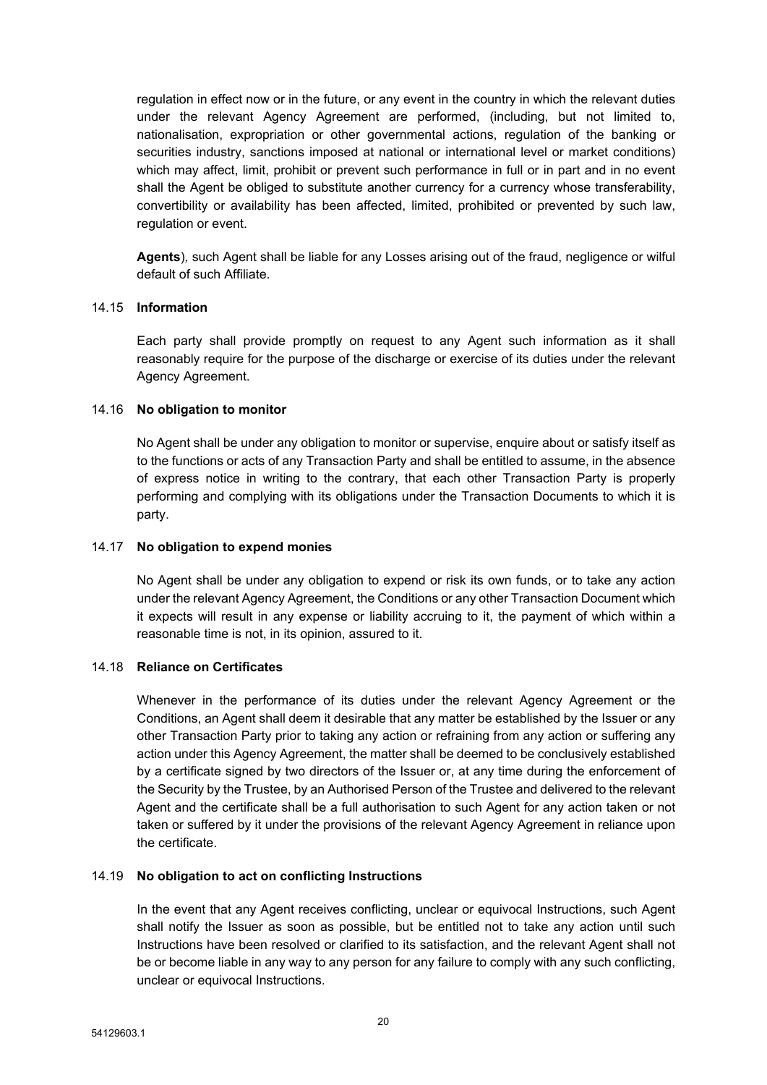[regulation](#page-20-0) in effect now or in the future, or any event in the country in which the relevant duties under the relevant Agency [Agreement](#page-20-0) are performed, (including, but not limited to, [nationalisation,](#page-20-0) expropriation or other governmental actions, regulation of the banking or securities industry, sanctions imposed at national or [international](#page-20-0) level or market conditions) which may affect, limit, prohibit or prevent such [performance](#page-20-0) in full or in part and in no event shall the Agent be obliged to substitute another currency for a currency whose [transferability,](#page-20-0) [convertibility](#page-20-0) or availability has been affected, limited, prohibited or prevented by such law, [regulation](#page-20-0) or event.

**[Agents](#page-20-0)**)*,* such Agent shall be liable for any Losses arising out of the fraud, negligence or wilful default of such Affiliate.

### 14.15 **Information**

Each party shall provide promptly on request to any Agent such information as it shall reasonably require for the purpose of the discharge or exercise of its duties under the relevant Agency Agreement.

### 14.16 **No obligation to monitor**

No Agent shall be under any obligation to monitor or supervise, enquire about or satisfy itself as to the functions or acts of any Transaction Party and shall be entitled to assume, in the absence of express notice in writing to the contrary, that each other Transaction Party is properly performing and complying with its obligations under the Transaction Documents to which it is party.

#### 14.17 **No obligation to expend monies**

No Agent shall be under any obligation to expend or risk its own funds, or to take any action under the relevant Agency Agreement, the Conditions or any other Transaction Document which it expects will result in any expense or liability accruing to it, the payment of which within a reasonable time is not, in its opinion, assured to it.

## 14.18 **Reliance on Certificates**

Whenever in the performance of its duties under the relevant Agency Agreement or the Conditions, an Agent shall deem it desirable that any matter be established by the Issuer or any other Transaction Party prior to taking any action or refraining from any action or suffering any action under this Agency Agreement, the matter shall be deemed to be conclusively established by a certificate signed by two directors of the Issuer or, at any time during the enforcement of the Security by the Trustee, by an Authorised Person of the Trustee and delivered to the relevant Agent and the certificate shall be a full authorisation to such Agent for any action taken or not taken or suffered by it under the provisions of the relevant Agency Agreement in reliance upon the certificate.

#### 14.19 **No obligation to act on conflicting Instructions**

In the event that any Agent receives conflicting, unclear or equivocal Instructions, such Agent shall notify the Issuer as soon as possible, but be entitled not to take any action until such Instructions have been resolved or clarified to its satisfaction, and the relevant Agent shall not be or become liable in any way to any person for any failure to comply with any such conflicting, unclear or equivocal Instructions.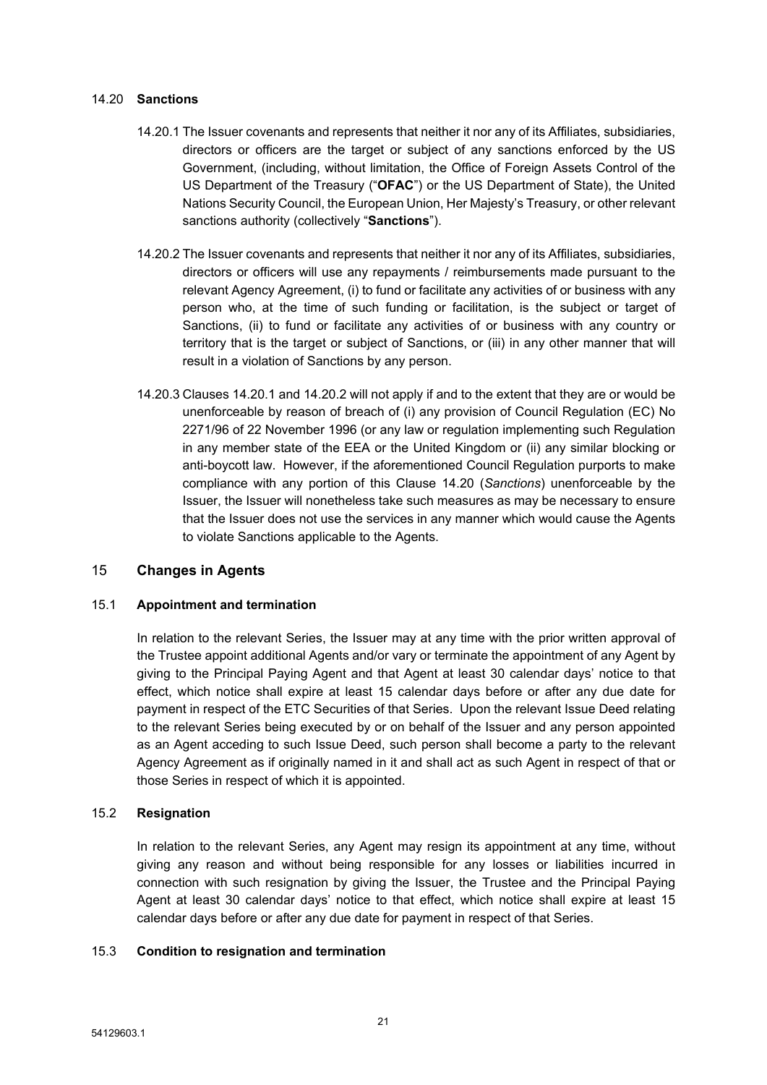### <span id="page-22-5"></span>14.20 **Sanctions**

- <span id="page-22-3"></span>14.20.1 The Issuer covenants and represents that neither it nor any of its Affiliates, subsidiaries, directors or officers are the target or subject of any sanctions enforced by the US Government, (including, without limitation, the Office of Foreign Assets Control of the US Department of the Treasury ("**OFAC**") or the US Department of State), the United Nations Security Council, the European Union, Her Majesty's Treasury, or other relevant sanctions authority (collectively "**Sanctions**").
- <span id="page-22-4"></span>14.20.2 The Issuer covenants and represents that neither it nor any of its Affiliates, subsidiaries, directors or officers will use any repayments / reimbursements made pursuant to the relevant Agency Agreement, (i) to fund or facilitate any activities of or business with any person who, at the time of such funding or facilitation, is the subject or target of Sanctions, (ii) to fund or facilitate any activities of or business with any country or territory that is the target or subject of Sanctions, or (iii) in any other manner that will result in a violation of Sanctions by any person.
- 14.20.3 Clauses [14.20.1](#page-22-3) and [14.20.2](#page-22-4) will not apply if and to the extent that they are or would be unenforceable by reason of breach of (i) any provision of Council Regulation (EC) No 2271/96 of 22 November 1996 (or any law or regulation implementing such Regulation in any member state of the EEA or the United Kingdom or (ii) any similar blocking or anti-boycott law. However, if the aforementioned Council Regulation purports to make compliance with any portion of this Clause [14.20](#page-22-5) (*[Sanctions](#page-22-5)*) unenforceable by the Issuer, the Issuer will nonetheless take such measures as may be necessary to ensure that the Issuer does not use the services in any manner which would cause the Agents to violate Sanctions applicable to the Agents.

## <span id="page-22-0"></span>15 **Changes in Agents**

## <span id="page-22-6"></span>15.1 **Appointment and termination**

In relation to the relevant Series, the Issuer may at any time with the prior written approval of the Trustee appoint additional Agents and/or vary or terminate the appointment of any Agent by giving to the Principal Paying Agent and that Agent at least 30 calendar days' notice to that effect, which notice shall expire at least 15 calendar days before or after any due date for payment in respect of the ETC Securities of that Series. Upon the relevant Issue Deed relating to the relevant Series being executed by or on behalf of the Issuer and any person appointed as an Agent acceding to such Issue Deed, such person shall become a party to the relevant Agency Agreement as if originally named in it and shall act as such Agent in respect of that or those Series in respect of which it is appointed.

## <span id="page-22-1"></span>15.2 **Resignation**

In relation to the relevant Series, any Agent may resign its appointment at any time, without giving any reason and without being responsible for any losses or liabilities incurred in connection with such resignation by giving the Issuer, the Trustee and the Principal Paying Agent at least 30 calendar days' notice to that effect, which notice shall expire at least 15 calendar days before or after any due date for payment in respect of that Series.

### <span id="page-22-2"></span>15.3 **Condition to resignation and termination**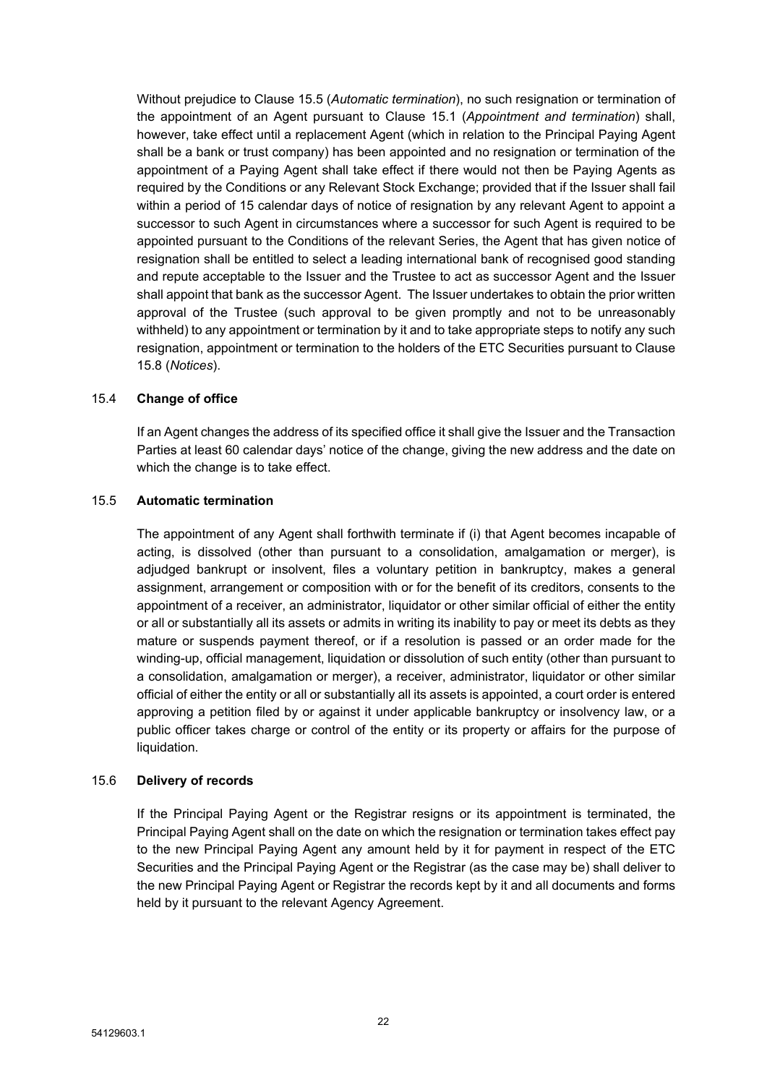Without prejudice to Clause [15.5](#page-23-0) (*Automatic [termination](#page-23-0)*), no such resignation or termination of the appointment of an Agent pursuant to Clause [15.1](#page-22-6) (*[Appointment](#page-22-6) and termination*) shall, however, take effect until a replacement Agent (which in relation to the Principal Paying Agent shall be a bank or trust company) has been appointed and no resignation or termination of the appointment of a Paying Agent shall take effect if there would not then be Paying Agents as required by the Conditions or any Relevant Stock Exchange; provided that if the Issuer shall fail within a period of 15 calendar days of notice of resignation by any relevant Agent to appoint a successor to such Agent in circumstances where a successor for such Agent is required to be appointed pursuant to the Conditions of the relevant Series, the Agent that has given notice of resignation shall be entitled to select a leading international bank of recognised good standing and repute acceptable to the Issuer and the Trustee to act as successor Agent and the Issuer shall appoint that bank as the successor Agent. The Issuer undertakes to obtain the prior written approval of the Trustee (such approval to be given promptly and not to be unreasonably withheld) to any appointment or termination by it and to take appropriate steps to notify any such resignation, appointment or termination to the holders of the ETC Securities pursuant to Clause [15.8](#page-24-2) (*[Notices](#page-24-2)*).

## <span id="page-23-1"></span>15.4 **Change of office**

If an Agent changes the address of its specified office it shall give the Issuer and the Transaction Parties at least 60 calendar days' notice of the change, giving the new address and the date on which the change is to take effect.

## <span id="page-23-0"></span>15.5 **Automatic termination**

The appointment of any Agent shall forthwith terminate if (i) that Agent becomes incapable of acting, is dissolved (other than pursuant to a consolidation, amalgamation or merger), is adjudged bankrupt or insolvent, files a voluntary petition in bankruptcy, makes a general assignment, arrangement or composition with or for the benefit of its creditors, consents to the appointment of a receiver, an administrator, liquidator or other similar official of either the entity or all or substantially all its assets or admits in writing its inability to pay or meet its debts as they mature or suspends payment thereof, or if a resolution is passed or an order made for the winding-up, official management, liquidation or dissolution of such entity (other than pursuant to a consolidation, amalgamation or merger), a receiver, administrator, liquidator or other similar official of either the entity or all or substantially all its assets is appointed, a court order is entered approving a petition filed by or against it under applicable bankruptcy or insolvency law, or a public officer takes charge or control of the entity or its property or affairs for the purpose of liquidation.

## 15.6 **Delivery of records**

If the Principal Paying Agent or the Registrar resigns or its appointment is terminated, the Principal Paying Agent shall on the date on which the resignation or termination takes effect pay to the new Principal Paying Agent any amount held by it for payment in respect of the ETC Securities and the Principal Paying Agent or the Registrar (as the case may be) shall deliver to the new Principal Paying Agent or Registrar the records kept by it and all documents and forms held by it pursuant to the relevant Agency Agreement.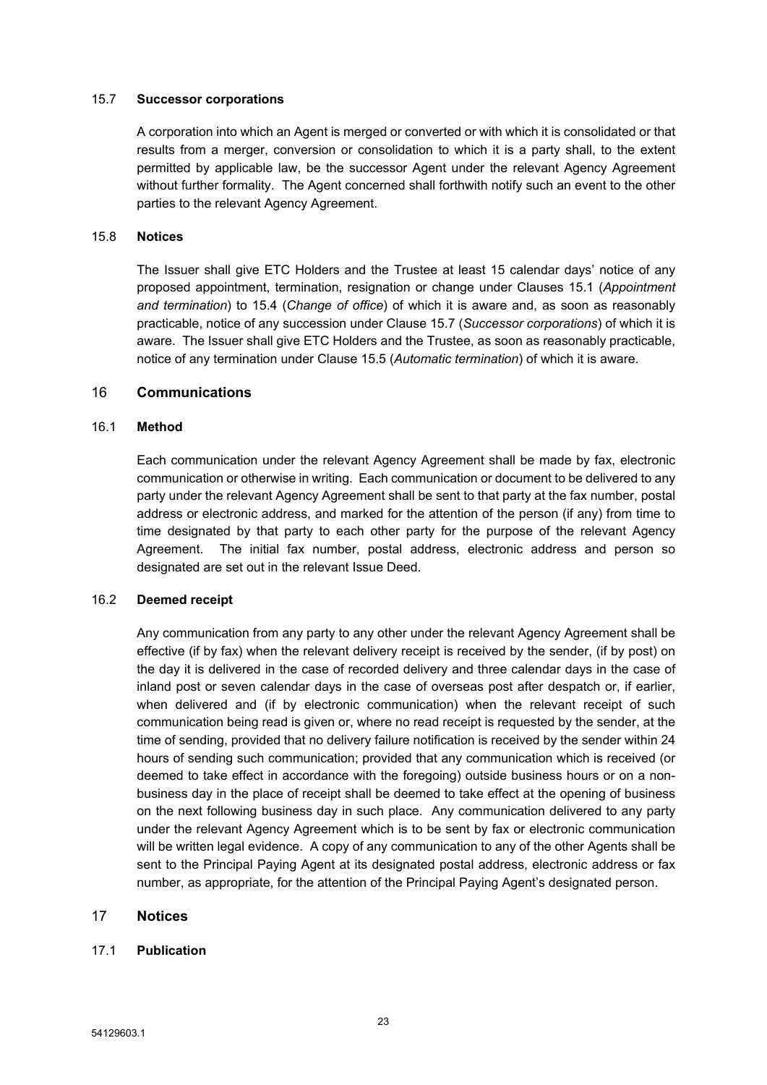### <span id="page-24-3"></span>15.7 **Successor corporations**

A corporation into which an Agent is merged or converted or with which it is consolidated or that results from a merger, conversion or consolidation to which it is a party shall, to the extent permitted by applicable law, be the successor Agent under the relevant Agency Agreement without further formality. The Agent concerned shall forthwith notify such an event to the other parties to the relevant Agency Agreement.

### <span id="page-24-2"></span>15.8 **Notices**

The Issuer shall give ETC Holders and the Trustee at least 15 calendar days' notice of any proposed appointment, termination, resignation or change under Clauses [15.1](#page-22-6) (*[Appointment](#page-22-6) and [termination](#page-22-6)*) to [15.4](#page-23-1) (*[Change](#page-23-1) of office*) of which it is aware and, as soon as reasonably practicable, notice of any succession under Clause [15.7](#page-24-3) (*Successor [corporations](#page-24-3)*) of which it is aware. The Issuer shall give ETC Holders and the Trustee, as soon as reasonably practicable, notice of any termination under Clause [15.5](#page-23-0) (*Automatic [termination](#page-23-0)*) of which it is aware.

### <span id="page-24-0"></span>16 **Communications**

### 16.1 **Method**

Each communication under the relevant Agency Agreement shall be made by fax, electronic communication or otherwise in writing. Each communication or document to be delivered to any party under the relevant Agency Agreement shall be sent to that party at the fax number, postal address or electronic address, and marked for the attention of the person (if any) from time to time designated by that party to each other party for the purpose of the relevant Agency Agreement. The initial fax number, postal address, electronic address and person so designated are set out in the relevant Issue Deed.

#### 16.2 **Deemed receipt**

Any communication from any party to any other under the relevant Agency Agreement shall be effective (if by fax) when the relevant delivery receipt is received by the sender, (if by post) on the day it is delivered in the case of recorded delivery and three calendar days in the case of inland post or seven calendar days in the case of overseas post after despatch or, if earlier, when delivered and (if by electronic communication) when the relevant receipt of such communication being read is given or, where no read receipt is requested by the sender, at the time of sending, provided that no delivery failure notification is received by the sender within 24 hours of sending such communication; provided that any communication which is received (or deemed to take effect in accordance with the foregoing) outside business hours or on a nonbusiness day in the place of receipt shall be deemed to take effect at the opening of business on the next following business day in such place. Any communication delivered to any party under the relevant Agency Agreement which is to be sent by fax or electronic communication will be written legal evidence. A copy of any communication to any of the other Agents shall be sent to the Principal Paying Agent at its designated postal address, electronic address or fax number, as appropriate, for the attention of the Principal Paying Agent's designated person.

## <span id="page-24-1"></span>17 **Notices**

#### <span id="page-24-4"></span>17.1 **Publication**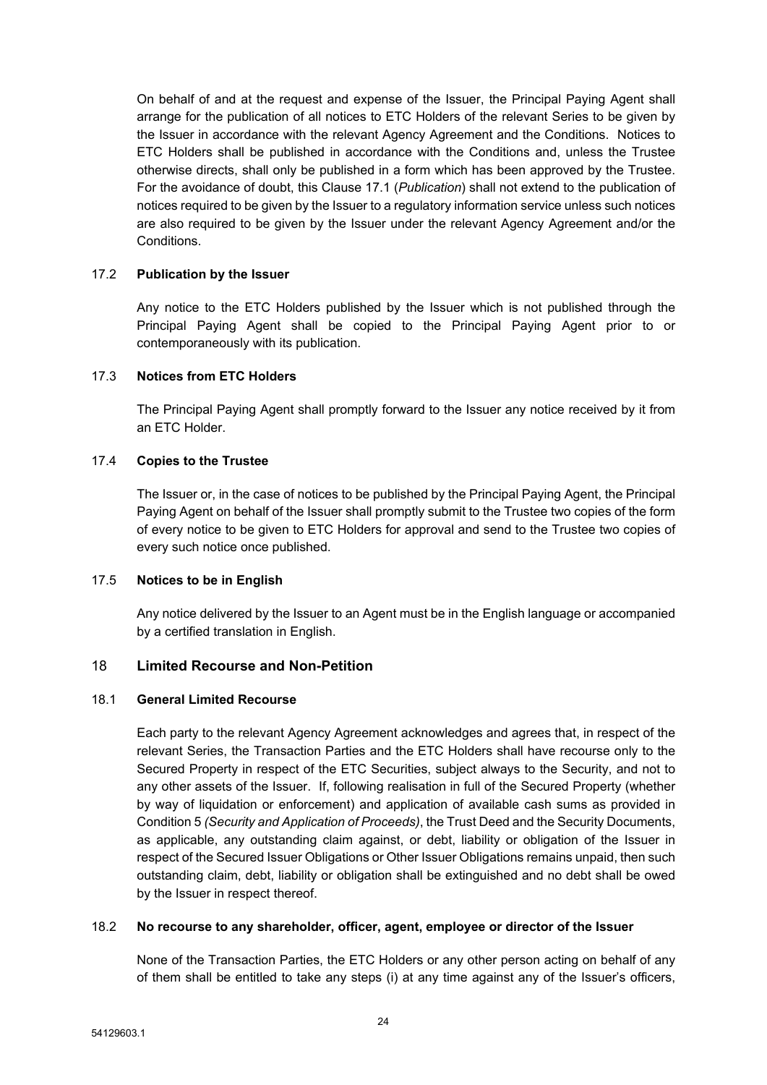On behalf of and at the request and expense of the Issuer, the Principal Paying Agent shall arrange for the publication of all notices to ETC Holders of the relevant Series to be given by the Issuer in accordance with the relevant Agency Agreement and the Conditions. Notices to ETC Holders shall be published in accordance with the Conditions and, unless the Trustee otherwise directs, shall only be published in a form which has been approved by the Trustee. For the avoidance of doubt, this Clause [17.1](#page-24-4) (*[Publication](#page-24-4)*) shall not extend to the publication of notices required to be given by the Issuer to a regulatory information service unless such notices are also required to be given by the Issuer under the relevant Agency Agreement and/or the Conditions.

## 17.2 **Publication by the Issuer**

Any notice to the ETC Holders published by the Issuer which is not published through the Principal Paying Agent shall be copied to the Principal Paying Agent prior to or contemporaneously with its publication.

### 17.3 **Notices from ETC Holders**

The Principal Paying Agent shall promptly forward to the Issuer any notice received by it from an ETC Holder.

### 17.4 **Copies to the Trustee**

The Issuer or, in the case of notices to be published by the Principal Paying Agent, the Principal Paying Agent on behalf of the Issuer shall promptly submit to the Trustee two copies of the form of every notice to be given to ETC Holders for approval and send to the Trustee two copies of every such notice once published.

#### 17.5 **Notices to be in English**

Any notice delivered by the Issuer to an Agent must be in the English language or accompanied by a certified translation in English.

## <span id="page-25-0"></span>18 **Limited Recourse and Non-Petition**

### 18.1 **General Limited Recourse**

Each party to the relevant Agency Agreement acknowledges and agrees that, in respect of the relevant Series, the Transaction Parties and the ETC Holders shall have recourse only to the Secured Property in respect of the ETC Securities, subject always to the Security, and not to any other assets of the Issuer. If, following realisation in full of the Secured Property (whether by way of liquidation or enforcement) and application of available cash sums as provided in Condition 5 *(Security and Application of Proceeds)*, the Trust Deed and the Security Documents, as applicable, any outstanding claim against, or debt, liability or obligation of the Issuer in respect of the Secured Issuer Obligations or Other Issuer Obligations remains unpaid, then such outstanding claim, debt, liability or obligation shall be extinguished and no debt shall be owed by the Issuer in respect thereof.

#### 18.2 **No recourse to any shareholder, officer, agent, employee or director of the Issuer**

None of the Transaction Parties, the ETC Holders or any other person acting on behalf of any of them shall be entitled to take any steps (i) at any time against any of the Issuer's officers,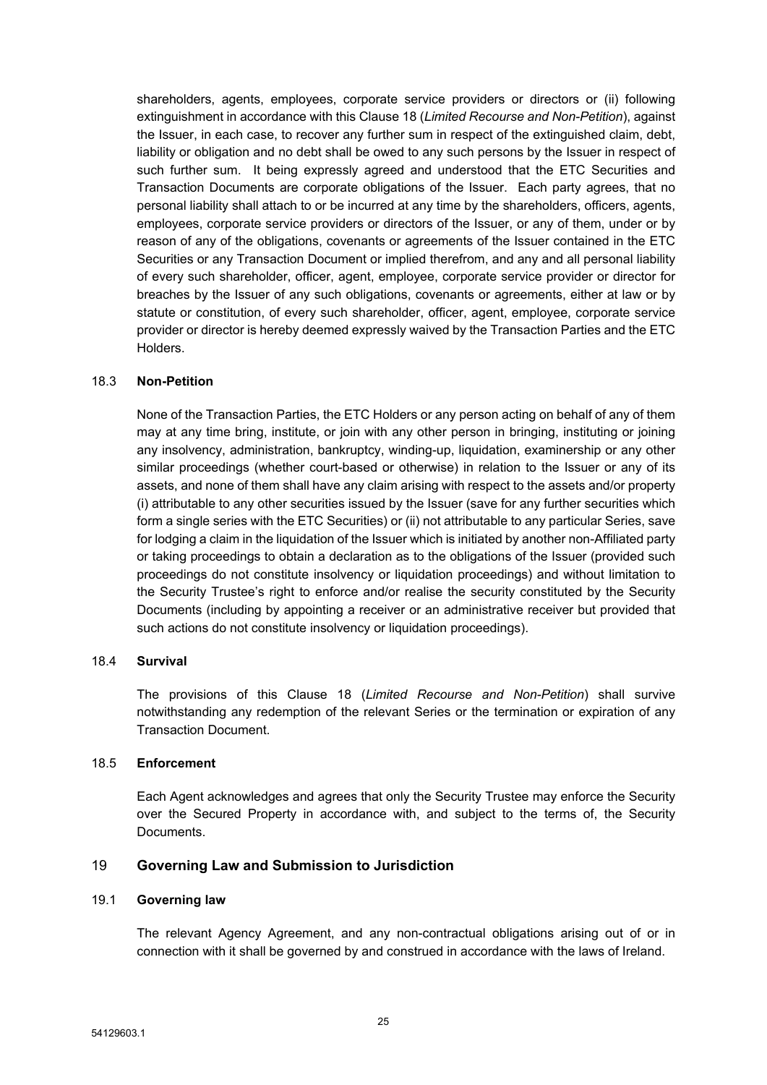shareholders, agents, employees, corporate service providers or directors or (ii) following extinguishment in accordance with this Clause [18](#page-25-0) (*Limited Recourse and [Non-Petition](#page-25-0)*), against the Issuer, in each case, to recover any further sum in respect of the extinguished claim, debt, liability or obligation and no debt shall be owed to any such persons by the Issuer in respect of such further sum. It being expressly agreed and understood that the ETC Securities and Transaction Documents are corporate obligations of the Issuer. Each party agrees, that no personal liability shall attach to or be incurred at any time by the shareholders, officers, agents, employees, corporate service providers or directors of the Issuer, or any of them, under or by reason of any of the obligations, covenants or agreements of the Issuer contained in the ETC Securities or any Transaction Document or implied therefrom, and any and all personal liability of every such shareholder, officer, agent, employee, corporate service provider or director for breaches by the Issuer of any such obligations, covenants or agreements, either at law or by statute or constitution, of every such shareholder, officer, agent, employee, corporate service provider or director is hereby deemed expressly waived by the Transaction Parties and the ETC Holders.

### 18.3 **Non-Petition**

None of the Transaction Parties, the ETC Holders or any person acting on behalf of any of them may at any time bring, institute, or join with any other person in bringing, instituting or joining any insolvency, administration, bankruptcy, winding-up, liquidation, examinership or any other similar proceedings (whether court-based or otherwise) in relation to the Issuer or any of its assets, and none of them shall have any claim arising with respect to the assets and/or property (i) attributable to any other securities issued by the Issuer (save for any further securities which form a single series with the ETC Securities) or (ii) not attributable to any particular Series, save for lodging a claim in the liquidation of the Issuer which is initiated by another non-Affiliated party or taking proceedings to obtain a declaration as to the obligations of the Issuer (provided such proceedings do not constitute insolvency or liquidation proceedings) and without limitation to the Security Trustee's right to enforce and/or realise the security constituted by the Security Documents (including by appointing a receiver or an administrative receiver but provided that such actions do not constitute insolvency or liquidation proceedings).

#### 18.4 **Survival**

The provisions of this Clause [18](#page-25-0) (*Limited Recourse and [Non-Petition](#page-25-0)*) shall survive notwithstanding any redemption of the relevant Series or the termination or expiration of any Transaction Document.

#### 18.5 **Enforcement**

Each Agent acknowledges and agrees that only the Security Trustee may enforce the Security over the Secured Property in accordance with, and subject to the terms of, the Security Documents.

## <span id="page-26-0"></span>19 **Governing Law and Submission to Jurisdiction**

#### 19.1 **Governing law**

The relevant Agency Agreement, and any non-contractual obligations arising out of or in connection with it shall be governed by and construed in accordance with the laws of Ireland.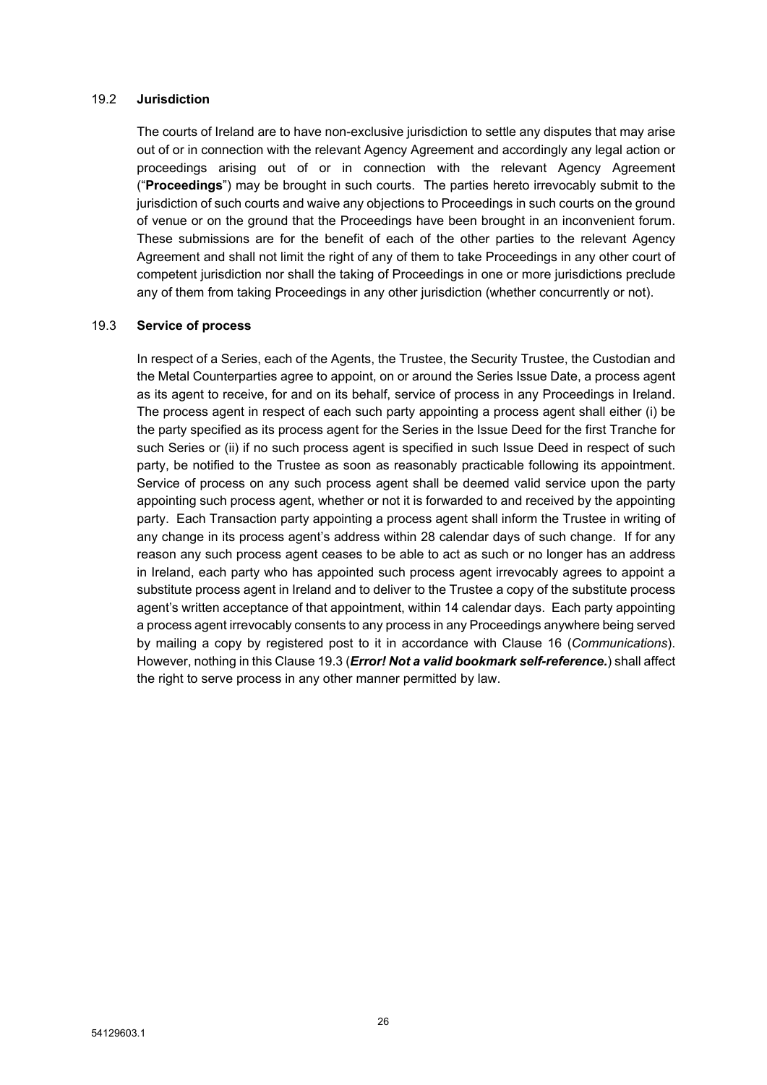#### 19.2 **Jurisdiction**

The courts of Ireland are to have non-exclusive jurisdiction to settle any disputes that may arise out of or in connection with the relevant Agency Agreement and accordingly any legal action or proceedings arising out of or in connection with the relevant Agency Agreement ("**Proceedings**") may be brought in such courts. The parties hereto irrevocably submit to the jurisdiction of such courts and waive any objections to Proceedings in such courts on the ground of venue or on the ground that the Proceedings have been brought in an inconvenient forum. These submissions are for the benefit of each of the other parties to the relevant Agency Agreement and shall not limit the right of any of them to take Proceedings in any other court of competent jurisdiction nor shall the taking of Proceedings in one or more jurisdictions preclude any of them from taking Proceedings in any other jurisdiction (whether concurrently or not).

## <span id="page-27-0"></span>19.3 **Service of process**

In respect of a Series, each of the Agents, the Trustee, the Security Trustee, the Custodian and the Metal Counterparties agree to appoint, on or around the Series Issue Date, a process agent as its agent to receive, for and on its behalf, service of process in any Proceedings in Ireland. The process agent in respect of each such party appointing a process agent shall either (i) be the party specified as its process agent for the Series in the Issue Deed for the first Tranche for such Series or (ii) if no such process agent is specified in such Issue Deed in respect of such party, be notified to the Trustee as soon as reasonably practicable following its appointment. Service of process on any such process agent shall be deemed valid service upon the party appointing such process agent, whether or not it is forwarded to and received by the appointing party. Each Transaction party appointing a process agent shall inform the Trustee in writing of any change in its process agent's address within 28 calendar days of such change. If for any reason any such process agent ceases to be able to act as such or no longer has an address in Ireland, each party who has appointed such process agent irrevocably agrees to appoint a substitute process agent in Ireland and to deliver to the Trustee a copy of the substitute process agent's written acceptance of that appointment, within 14 calendar days. Each party appointing a process agent irrevocably consents to any process in any Proceedings anywhere being served by mailing a copy by registered post to it in accordance with Clause [16](#page-24-0) (*[Communications](#page-24-0)*). However, nothing in this Clause [19.3](#page-27-0) (*Error! Not a valid bookmark [self-reference.](#page-27-0)*) shall affect the right to serve process in any other manner permitted by law.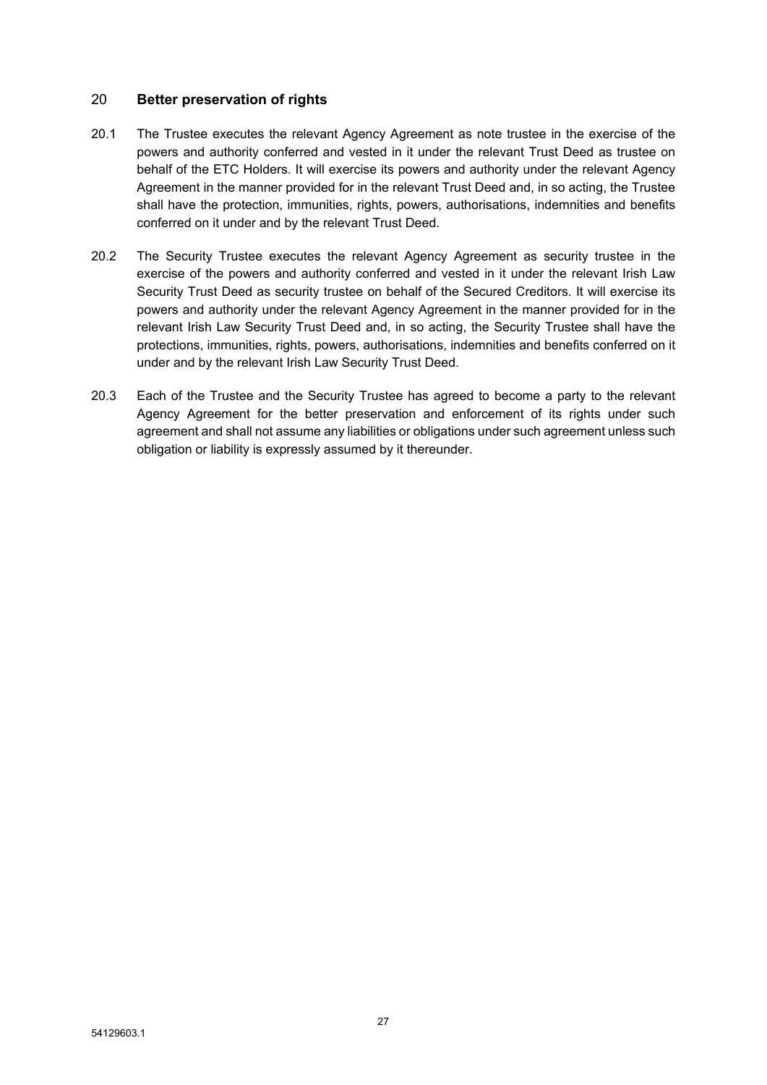# 20 **Better preservation of rights**

- 20.1 The Trustee executes the relevant Agency Agreement as note trustee in the exercise of the powers and authority conferred and vested in it under the relevant Trust Deed as trustee on behalf of the ETC Holders. It will exercise its powers and authority under the relevant Agency Agreement in the manner provided for in the relevant Trust Deed and, in so acting, the Trustee shall have the protection, immunities, rights, powers, authorisations, indemnities and benefits conferred on it under and by the relevant Trust Deed.
- 20.2 The Security Trustee executes the relevant Agency Agreement as security trustee in the exercise of the powers and authority conferred and vested in it under the relevant Irish Law Security Trust Deed as security trustee on behalf of the Secured Creditors. It will exercise its powers and authority under the relevant Agency Agreement in the manner provided for in the relevant Irish Law Security Trust Deed and, in so acting, the Security Trustee shall have the protections, immunities, rights, powers, authorisations, indemnities and benefits conferred on it under and by the relevant Irish Law Security Trust Deed.
- 20.3 Each of the Trustee and the Security Trustee has agreed to become a party to the relevant Agency Agreement for the better preservation and enforcement of its rights under such agreement and shall not assume any liabilities or obligations under such agreement unless such obligation or liability is expressly assumed by it thereunder.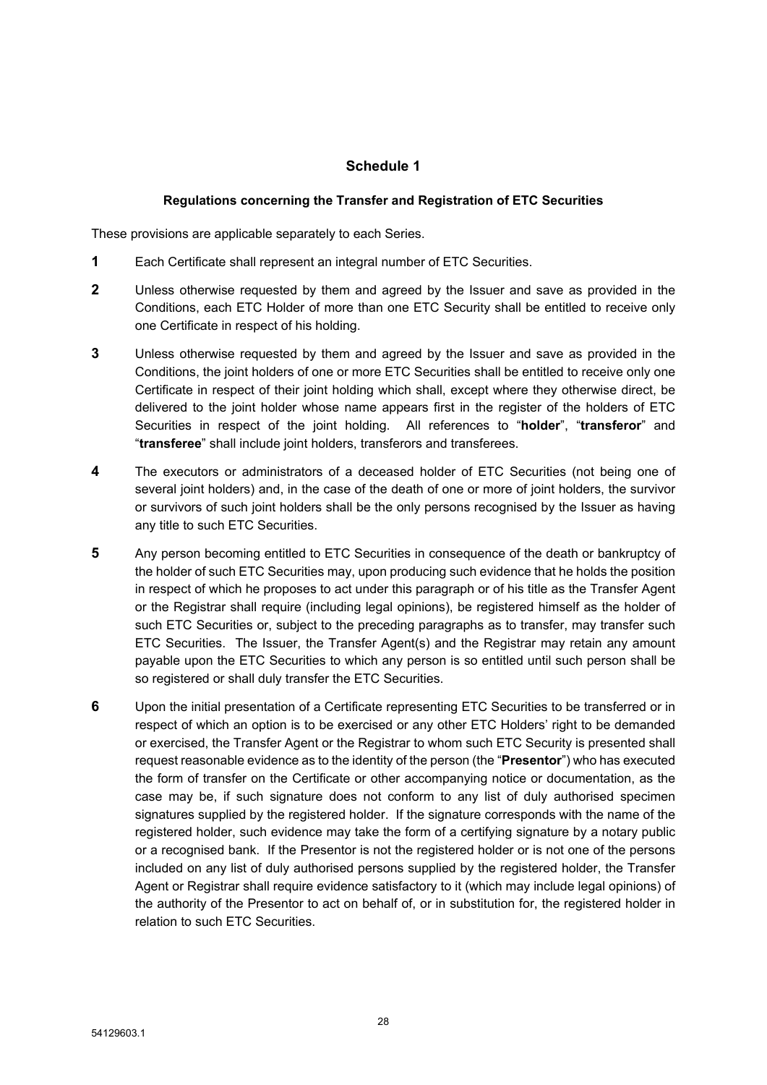# <span id="page-29-0"></span>**Schedule 1**

### <span id="page-29-1"></span>**Regulations concerning the Transfer and Registration of ETC Securities**

These provisions are applicable separately to each Series.

- **1** Each Certificate shall represent an integral number of ETC Securities.
- **2** Unless otherwise requested by them and agreed by the Issuer and save as provided in the Conditions, each ETC Holder of more than one ETC Security shall be entitled to receive only one Certificate in respect of his holding.
- **3** Unless otherwise requested by them and agreed by the Issuer and save as provided in the Conditions, the joint holders of one or more ETC Securities shall be entitled to receive only one Certificate in respect of their joint holding which shall, except where they otherwise direct, be delivered to the joint holder whose name appears first in the register of the holders of ETC Securities in respect of the joint holding. All references to "**holder**", "**transferor**" and "**transferee**" shall include joint holders, transferors and transferees.
- **4** The executors or administrators of a deceased holder of ETC Securities (not being one of several joint holders) and, in the case of the death of one or more of joint holders, the survivor or survivors of such joint holders shall be the only persons recognised by the Issuer as having any title to such ETC Securities.
- **5** Any person becoming entitled to ETC Securities in consequence of the death or bankruptcy of the holder of such ETC Securities may, upon producing such evidence that he holds the position in respect of which he proposes to act under this paragraph or of his title as the Transfer Agent or the Registrar shall require (including legal opinions), be registered himself as the holder of such ETC Securities or, subject to the preceding paragraphs as to transfer, may transfer such ETC Securities. The Issuer, the Transfer Agent(s) and the Registrar may retain any amount payable upon the ETC Securities to which any person is so entitled until such person shall be so registered or shall duly transfer the ETC Securities.
- **6** Upon the initial presentation of a Certificate representing ETC Securities to be transferred or in respect of which an option is to be exercised or any other ETC Holders' right to be demanded or exercised, the Transfer Agent or the Registrar to whom such ETC Security is presented shall request reasonable evidence as to the identity of the person (the "**Presentor**") who has executed the form of transfer on the Certificate or other accompanying notice or documentation, as the case may be, if such signature does not conform to any list of duly authorised specimen signatures supplied by the registered holder. If the signature corresponds with the name of the registered holder, such evidence may take the form of a certifying signature by a notary public or a recognised bank. If the Presentor is not the registered holder or is not one of the persons included on any list of duly authorised persons supplied by the registered holder, the Transfer Agent or Registrar shall require evidence satisfactory to it (which may include legal opinions) of the authority of the Presentor to act on behalf of, or in substitution for, the registered holder in relation to such ETC Securities.